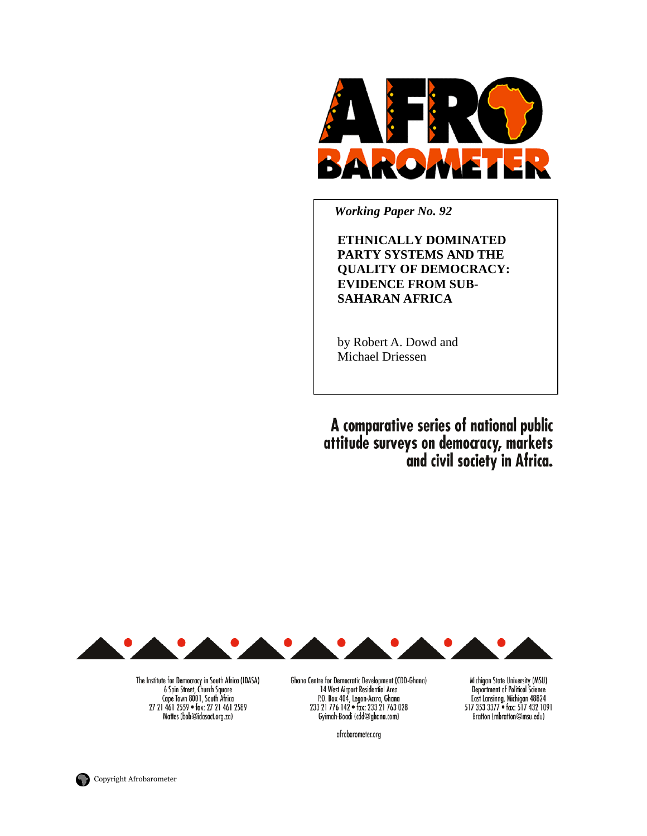

 *Working Paper No. 92* 

**ETHNICALLY DOMINATED PARTY SYSTEMS AND THE QUALITY OF DEMOCRACY: EVIDENCE FROM SUB-SAHARAN AFRICA** 

by Robert A. Dowd and Michael Driessen

A comparative series of national public<br>attitude surveys on democracy, markets<br>and civil society in Africa.



The Institute for Democracy in South Africa (IDASA) 6 Spin Street, Church Square<br>Cape Town 8001, South Africa 27 21 461 2559 · fax: 27 21 461 2589 Mattes (bob@idasact.org.za)

Ghana Centre for Democratic Development (CDD-Ghana) 14 West Airport Residential Area P.O. Box 404, Legon-Accra, Ghana<br>233 21 776 142 • fax: 233 21 763 028 Gyimah-Boadi (cdd@ghana.com)

afrobarometer.org

Michigan State University (MSU) Department of Political Science<br>East Lansinng, Michigan 48824<br>517 353 3377 • fax: 517 432 1091 Bratton (mbratton@msu.edu)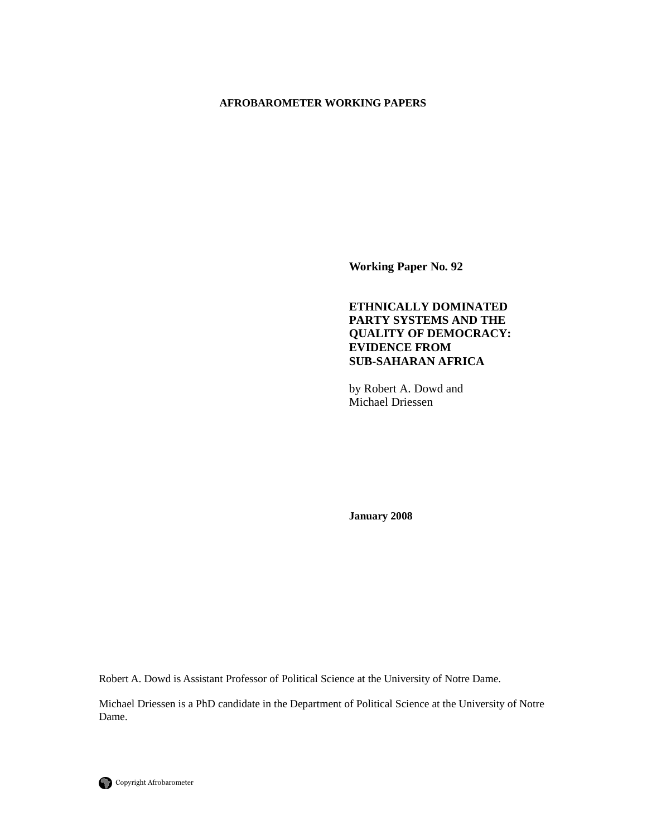#### **AFROBAROMETER WORKING PAPERS**

**Working Paper No. 92** 

# **ETHNICALLY DOMINATED PARTY SYSTEMS AND THE QUALITY OF DEMOCRACY: EVIDENCE FROM SUB-SAHARAN AFRICA**

by Robert A. Dowd and Michael Driessen

**January 2008** 

Robert A. Dowd is Assistant Professor of Political Science at the University of Notre Dame.

Michael Driessen is a PhD candidate in the Department of Political Science at the University of Notre Dame.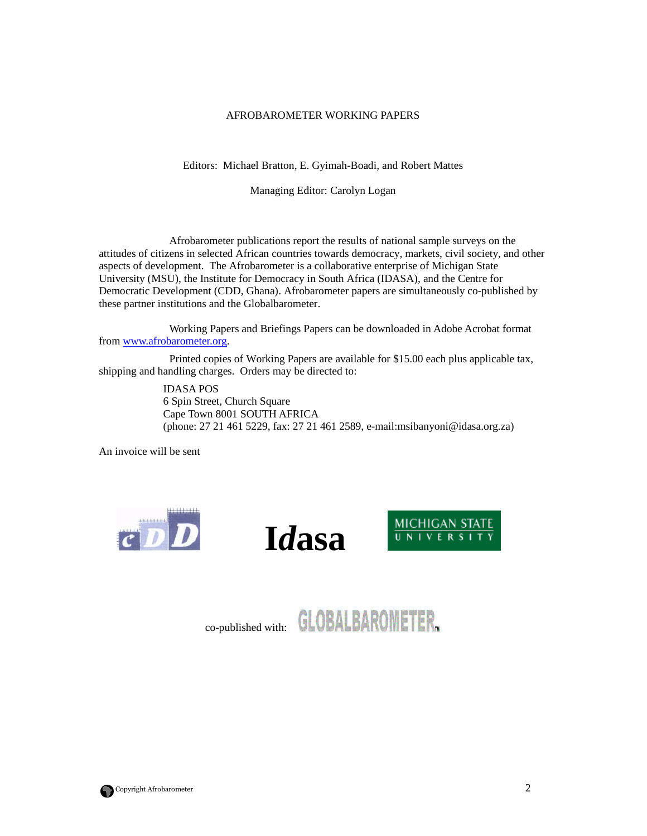#### AFROBAROMETER WORKING PAPERS

Editors: Michael Bratton, E. Gyimah-Boadi, and Robert Mattes

Managing Editor: Carolyn Logan

 Afrobarometer publications report the results of national sample surveys on the attitudes of citizens in selected African countries towards democracy, markets, civil society, and other aspects of development. The Afrobarometer is a collaborative enterprise of Michigan State University (MSU), the Institute for Democracy in South Africa (IDASA), and the Centre for Democratic Development (CDD, Ghana). Afrobarometer papers are simultaneously co-published by these partner institutions and the Globalbarometer.

 Working Papers and Briefings Papers can be downloaded in Adobe Acrobat format from www.afrobarometer.org.

 Printed copies of Working Papers are available for \$15.00 each plus applicable tax, shipping and handling charges. Orders may be directed to:

> IDASA POS 6 Spin Street, Church Square Cape Town 8001 SOUTH AFRICA (phone: 27 21 461 5229, fax: 27 21 461 2589, e-mail:msibanyoni@idasa.org.za)

An invoice will be sent







co-published with: **GLOBALBAROMETER.** 

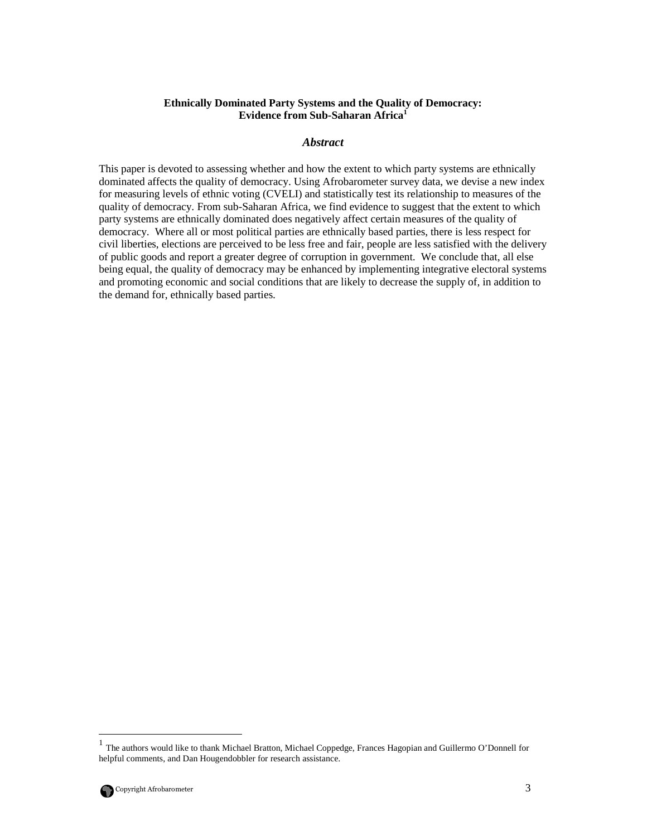### **Ethnically Dominated Party Systems and the Quality of Democracy: Evidence from Sub-Saharan Africa<sup>1</sup>**

### *Abstract*

This paper is devoted to assessing whether and how the extent to which party systems are ethnically dominated affects the quality of democracy. Using Afrobarometer survey data, we devise a new index for measuring levels of ethnic voting (CVELI) and statistically test its relationship to measures of the quality of democracy. From sub-Saharan Africa, we find evidence to suggest that the extent to which party systems are ethnically dominated does negatively affect certain measures of the quality of democracy. Where all or most political parties are ethnically based parties, there is less respect for civil liberties, elections are perceived to be less free and fair, people are less satisfied with the delivery of public goods and report a greater degree of corruption in government. We conclude that, all else being equal, the quality of democracy may be enhanced by implementing integrative electoral systems and promoting economic and social conditions that are likely to decrease the supply of, in addition to the demand for, ethnically based parties.

 helpful comments, and Dan Hougendobbler for research assistance. 1 The authors would like to thank Michael Bratton, Michael Coppedge, Frances Hagopian and Guillermo O'Donnell for



-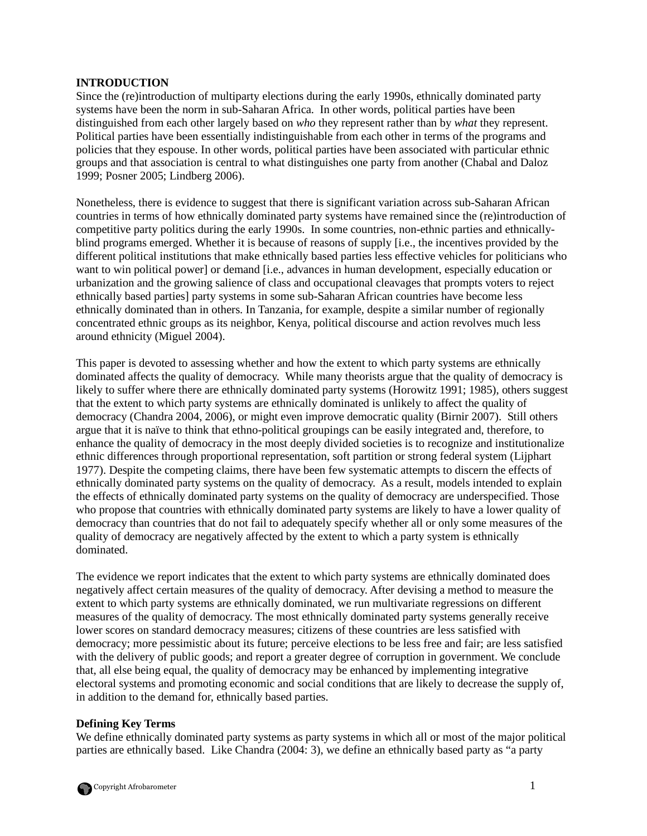### **INTRODUCTION**

Since the (re)introduction of multiparty elections during the early 1990s, ethnically dominated party systems have been the norm in sub-Saharan Africa. In other words, political parties have been distinguished from each other largely based on *who* they represent rather than by *what* they represent. Political parties have been essentially indistinguishable from each other in terms of the programs and policies that they espouse. In other words, political parties have been associated with particular ethnic groups and that association is central to what distinguishes one party from another (Chabal and Daloz 1999; Posner 2005; Lindberg 2006).

Nonetheless, there is evidence to suggest that there is significant variation across sub-Saharan African countries in terms of how ethnically dominated party systems have remained since the (re)introduction of competitive party politics during the early 1990s. In some countries, non-ethnic parties and ethnicallyblind programs emerged. Whether it is because of reasons of supply [i.e., the incentives provided by the different political institutions that make ethnically based parties less effective vehicles for politicians who want to win political power] or demand [i.e., advances in human development, especially education or urbanization and the growing salience of class and occupational cleavages that prompts voters to reject ethnically based parties] party systems in some sub-Saharan African countries have become less ethnically dominated than in others. In Tanzania, for example, despite a similar number of regionally concentrated ethnic groups as its neighbor, Kenya, political discourse and action revolves much less around ethnicity (Miguel 2004).

This paper is devoted to assessing whether and how the extent to which party systems are ethnically dominated affects the quality of democracy. While many theorists argue that the quality of democracy is likely to suffer where there are ethnically dominated party systems (Horowitz 1991; 1985), others suggest that the extent to which party systems are ethnically dominated is unlikely to affect the quality of democracy (Chandra 2004, 2006), or might even improve democratic quality (Birnir 2007). Still others argue that it is naïve to think that ethno-political groupings can be easily integrated and, therefore, to enhance the quality of democracy in the most deeply divided societies is to recognize and institutionalize ethnic differences through proportional representation, soft partition or strong federal system (Lijphart 1977). Despite the competing claims, there have been few systematic attempts to discern the effects of ethnically dominated party systems on the quality of democracy. As a result, models intended to explain the effects of ethnically dominated party systems on the quality of democracy are underspecified. Those who propose that countries with ethnically dominated party systems are likely to have a lower quality of democracy than countries that do not fail to adequately specify whether all or only some measures of the quality of democracy are negatively affected by the extent to which a party system is ethnically dominated.

The evidence we report indicates that the extent to which party systems are ethnically dominated does negatively affect certain measures of the quality of democracy. After devising a method to measure the extent to which party systems are ethnically dominated, we run multivariate regressions on different measures of the quality of democracy. The most ethnically dominated party systems generally receive lower scores on standard democracy measures; citizens of these countries are less satisfied with democracy; more pessimistic about its future; perceive elections to be less free and fair; are less satisfied with the delivery of public goods; and report a greater degree of corruption in government. We conclude that, all else being equal, the quality of democracy may be enhanced by implementing integrative electoral systems and promoting economic and social conditions that are likely to decrease the supply of, in addition to the demand for, ethnically based parties.

# **Defining Key Terms**

We define ethnically dominated party systems as party systems in which all or most of the major political parties are ethnically based. Like Chandra (2004: 3), we define an ethnically based party as "a party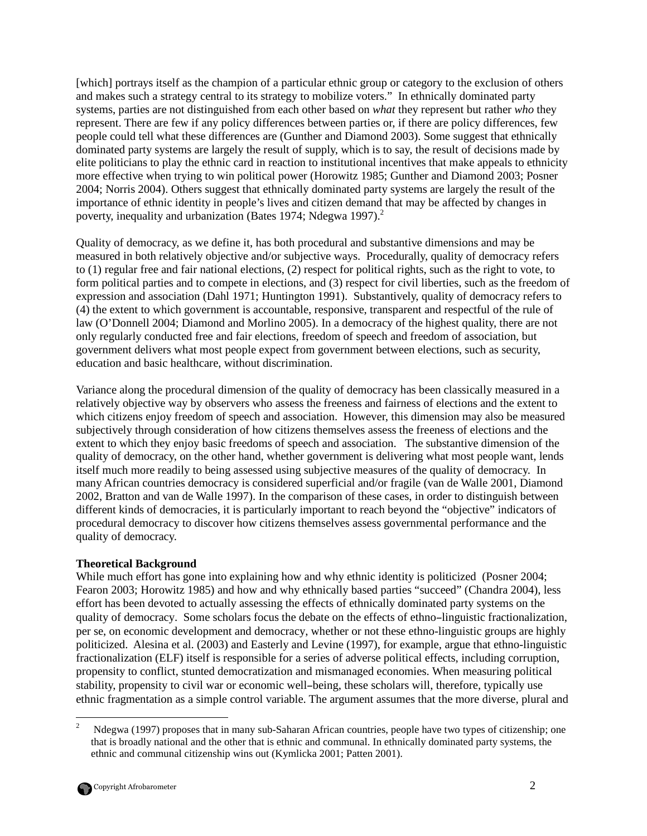[which] portrays itself as the champion of a particular ethnic group or category to the exclusion of others and makes such a strategy central to its strategy to mobilize voters." In ethnically dominated party systems, parties are not distinguished from each other based on *what* they represent but rather *who* they represent. There are few if any policy differences between parties or, if there are policy differences, few people could tell what these differences are (Gunther and Diamond 2003). Some suggest that ethnically dominated party systems are largely the result of supply, which is to say, the result of decisions made by elite politicians to play the ethnic card in reaction to institutional incentives that make appeals to ethnicity more effective when trying to win political power (Horowitz 1985; Gunther and Diamond 2003; Posner 2004; Norris 2004). Others suggest that ethnically dominated party systems are largely the result of the importance of ethnic identity in people's lives and citizen demand that may be affected by changes in poverty, inequality and urbanization (Bates 1974; Ndegwa 1997).<sup>2</sup>

Quality of democracy, as we define it, has both procedural and substantive dimensions and may be measured in both relatively objective and/or subjective ways. Procedurally, quality of democracy refers to (1) regular free and fair national elections, (2) respect for political rights, such as the right to vote, to form political parties and to compete in elections, and (3) respect for civil liberties, such as the freedom of expression and association (Dahl 1971; Huntington 1991). Substantively, quality of democracy refers to (4) the extent to which government is accountable, responsive, transparent and respectful of the rule of law (O'Donnell 2004; Diamond and Morlino 2005). In a democracy of the highest quality, there are not only regularly conducted free and fair elections, freedom of speech and freedom of association, but government delivers what most people expect from government between elections, such as security, education and basic healthcare, without discrimination.

Variance along the procedural dimension of the quality of democracy has been classically measured in a relatively objective way by observers who assess the freeness and fairness of elections and the extent to which citizens enjoy freedom of speech and association. However, this dimension may also be measured subjectively through consideration of how citizens themselves assess the freeness of elections and the extent to which they enjoy basic freedoms of speech and association. The substantive dimension of the quality of democracy, on the other hand, whether government is delivering what most people want, lends itself much more readily to being assessed using subjective measures of the quality of democracy. In many African countries democracy is considered superficial and/or fragile (van de Walle 2001, Diamond 2002, Bratton and van de Walle 1997). In the comparison of these cases, in order to distinguish between different kinds of democracies, it is particularly important to reach beyond the "objective" indicators of procedural democracy to discover how citizens themselves assess governmental performance and the quality of democracy.

# **Theoretical Background**

While much effort has gone into explaining how and why ethnic identity is politicized (Posner 2004; Fearon 2003; Horowitz 1985) and how and why ethnically based parties "succeed" (Chandra 2004), less effort has been devoted to actually assessing the effects of ethnically dominated party systems on the quality of democracy. Some scholars focus the debate on the effects of ethno–linguistic fractionalization, per se, on economic development and democracy, whether or not these ethno-linguistic groups are highly politicized. Alesina et al. (2003) and Easterly and Levine (1997), for example, argue that ethno-linguistic fractionalization (ELF) itself is responsible for a series of adverse political effects, including corruption, propensity to conflict, stunted democratization and mismanaged economies. When measuring political stability, propensity to civil war or economic well–being, these scholars will, therefore, typically use ethnic fragmentation as a simple control variable. The argument assumes that the more diverse, plural and

 $\frac{1}{2}$  Ndegwa (1997) proposes that in many sub-Saharan African countries, people have two types of citizenship; one that is broadly national and the other that is ethnic and communal. In ethnically dominated party systems, the ethnic and communal citizenship wins out (Kymlicka 2001; Patten 2001).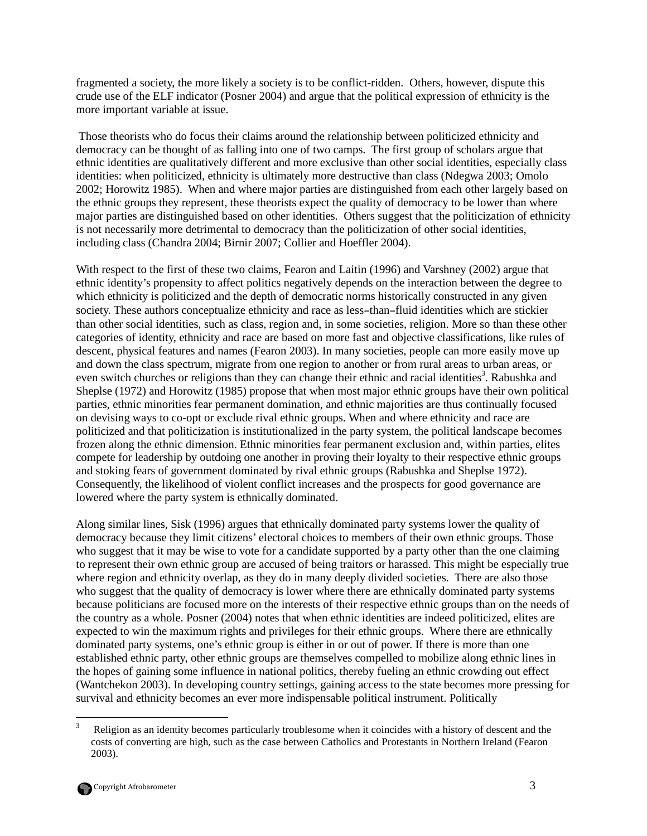fragmented a society, the more likely a society is to be conflict-ridden. Others, however, dispute this crude use of the ELF indicator (Posner 2004) and argue that the political expression of ethnicity is the more important variable at issue.

 Those theorists who do focus their claims around the relationship between politicized ethnicity and democracy can be thought of as falling into one of two camps. The first group of scholars argue that ethnic identities are qualitatively different and more exclusive than other social identities, especially class identities: when politicized, ethnicity is ultimately more destructive than class (Ndegwa 2003; Omolo 2002; Horowitz 1985). When and where major parties are distinguished from each other largely based on the ethnic groups they represent, these theorists expect the quality of democracy to be lower than where major parties are distinguished based on other identities. Others suggest that the politicization of ethnicity is not necessarily more detrimental to democracy than the politicization of other social identities, including class (Chandra 2004; Birnir 2007; Collier and Hoeffler 2004).

With respect to the first of these two claims, Fearon and Laitin (1996) and Varshney (2002) argue that ethnic identity's propensity to affect politics negatively depends on the interaction between the degree to which ethnicity is politicized and the depth of democratic norms historically constructed in any given society. These authors conceptualize ethnicity and race as less–than–fluid identities which are stickier than other social identities, such as class, region and, in some societies, religion. More so than these other categories of identity, ethnicity and race are based on more fast and objective classifications, like rules of descent, physical features and names (Fearon 2003). In many societies, people can more easily move up and down the class spectrum, migrate from one region to another or from rural areas to urban areas, or even switch churches or religions than they can change their ethnic and racial identities<sup>3</sup>. Rabushka and Sheplse (1972) and Horowitz (1985) propose that when most major ethnic groups have their own political parties, ethnic minorities fear permanent domination, and ethnic majorities are thus continually focused on devising ways to co-opt or exclude rival ethnic groups. When and where ethnicity and race are politicized and that politicization is institutionalized in the party system, the political landscape becomes frozen along the ethnic dimension. Ethnic minorities fear permanent exclusion and, within parties, elites compete for leadership by outdoing one another in proving their loyalty to their respective ethnic groups and stoking fears of government dominated by rival ethnic groups (Rabushka and Sheplse 1972). Consequently, the likelihood of violent conflict increases and the prospects for good governance are lowered where the party system is ethnically dominated.

Along similar lines, Sisk (1996) argues that ethnically dominated party systems lower the quality of democracy because they limit citizens' electoral choices to members of their own ethnic groups. Those who suggest that it may be wise to vote for a candidate supported by a party other than the one claiming to represent their own ethnic group are accused of being traitors or harassed. This might be especially true where region and ethnicity overlap, as they do in many deeply divided societies. There are also those who suggest that the quality of democracy is lower where there are ethnically dominated party systems because politicians are focused more on the interests of their respective ethnic groups than on the needs of the country as a whole. Posner (2004) notes that when ethnic identities are indeed politicized, elites are expected to win the maximum rights and privileges for their ethnic groups. Where there are ethnically dominated party systems, one's ethnic group is either in or out of power. If there is more than one established ethnic party, other ethnic groups are themselves compelled to mobilize along ethnic lines in the hopes of gaining some influence in national politics, thereby fueling an ethnic crowding out effect (Wantchekon 2003). In developing country settings, gaining access to the state becomes more pressing for survival and ethnicity becomes an ever more indispensable political instrument. Politically

 $\frac{1}{3}$  Religion as an identity becomes particularly troublesome when it coincides with a history of descent and the costs of converting are high, such as the case between Catholics and Protestants in Northern Ireland (Fearon 2003).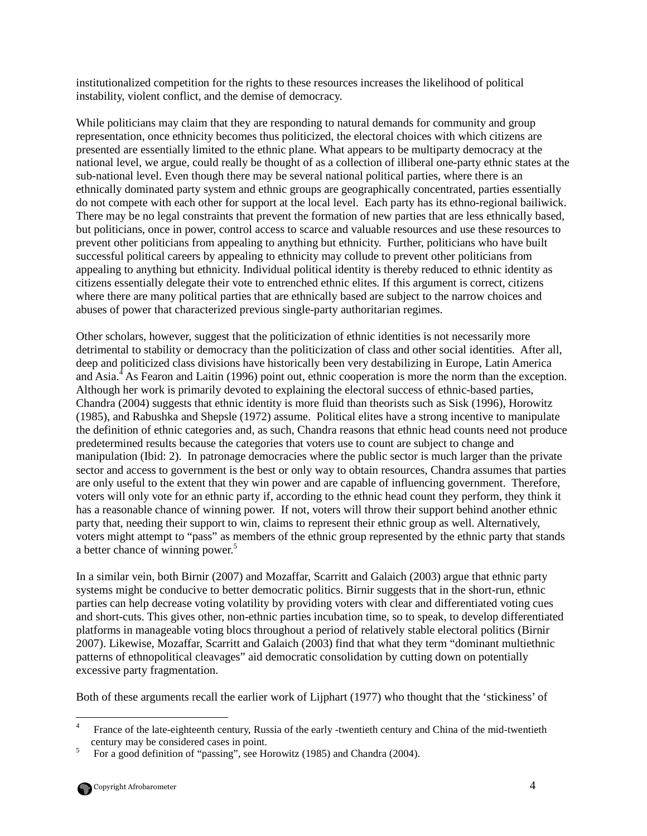institutionalized competition for the rights to these resources increases the likelihood of political instability, violent conflict, and the demise of democracy.

While politicians may claim that they are responding to natural demands for community and group representation, once ethnicity becomes thus politicized, the electoral choices with which citizens are presented are essentially limited to the ethnic plane. What appears to be multiparty democracy at the national level, we argue, could really be thought of as a collection of illiberal one-party ethnic states at the sub-national level. Even though there may be several national political parties, where there is an ethnically dominated party system and ethnic groups are geographically concentrated, parties essentially do not compete with each other for support at the local level. Each party has its ethno-regional bailiwick. There may be no legal constraints that prevent the formation of new parties that are less ethnically based, but politicians, once in power, control access to scarce and valuable resources and use these resources to prevent other politicians from appealing to anything but ethnicity. Further, politicians who have built successful political careers by appealing to ethnicity may collude to prevent other politicians from appealing to anything but ethnicity. Individual political identity is thereby reduced to ethnic identity as citizens essentially delegate their vote to entrenched ethnic elites. If this argument is correct, citizens where there are many political parties that are ethnically based are subject to the narrow choices and abuses of power that characterized previous single-party authoritarian regimes.

Other scholars, however, suggest that the politicization of ethnic identities is not necessarily more detrimental to stability or democracy than the politicization of class and other social identities. After all, deep and politicized class divisions have historically been very destabilizing in Europe, Latin America and Asia.<sup>4</sup> As Fearon and Laitin (1996) point out, ethnic cooperation is more the norm than the exception. Although her work is primarily devoted to explaining the electoral success of ethnic-based parties, Chandra (2004) suggests that ethnic identity is more fluid than theorists such as Sisk (1996), Horowitz (1985), and Rabushka and Shepsle (1972) assume. Political elites have a strong incentive to manipulate the definition of ethnic categories and, as such, Chandra reasons that ethnic head counts need not produce predetermined results because the categories that voters use to count are subject to change and manipulation (Ibid: 2). In patronage democracies where the public sector is much larger than the private sector and access to government is the best or only way to obtain resources, Chandra assumes that parties are only useful to the extent that they win power and are capable of influencing government. Therefore, voters will only vote for an ethnic party if, according to the ethnic head count they perform, they think it has a reasonable chance of winning power. If not, voters will throw their support behind another ethnic party that, needing their support to win, claims to represent their ethnic group as well. Alternatively, voters might attempt to "pass" as members of the ethnic group represented by the ethnic party that stands a better chance of winning power.<sup>5</sup>

In a similar vein, both Birnir (2007) and Mozaffar, Scarritt and Galaich (2003) argue that ethnic party systems might be conducive to better democratic politics. Birnir suggests that in the short-run, ethnic parties can help decrease voting volatility by providing voters with clear and differentiated voting cues and short-cuts. This gives other, non-ethnic parties incubation time, so to speak, to develop differentiated platforms in manageable voting blocs throughout a period of relatively stable electoral politics (Birnir 2007). Likewise, Mozaffar, Scarritt and Galaich (2003) find that what they term "dominant multiethnic patterns of ethnopolitical cleavages" aid democratic consolidation by cutting down on potentially excessive party fragmentation.

Both of these arguments recall the earlier work of Lijphart (1977) who thought that the 'stickiness' of

 $\frac{1}{4}$  France of the late-eighteenth century, Russia of the early -twentieth century and China of the mid-twentieth century may be considered cases in point.

<sup>5</sup> For a good definition of "passing", see Horowitz (1985) and Chandra (2004).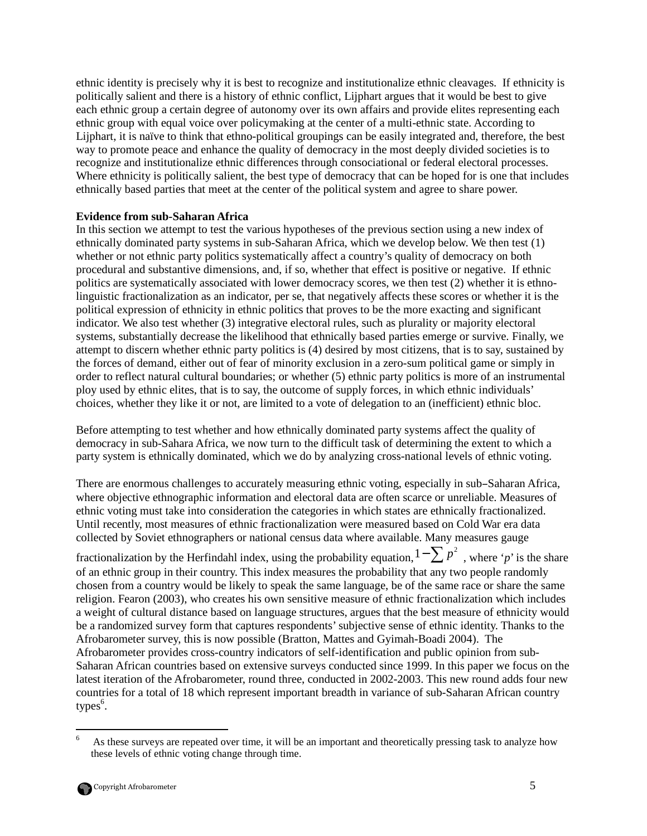ethnic identity is precisely why it is best to recognize and institutionalize ethnic cleavages. If ethnicity is politically salient and there is a history of ethnic conflict, Lijphart argues that it would be best to give each ethnic group a certain degree of autonomy over its own affairs and provide elites representing each ethnic group with equal voice over policymaking at the center of a multi-ethnic state. According to Lijphart, it is naïve to think that ethno-political groupings can be easily integrated and, therefore, the best way to promote peace and enhance the quality of democracy in the most deeply divided societies is to recognize and institutionalize ethnic differences through consociational or federal electoral processes. Where ethnicity is politically salient, the best type of democracy that can be hoped for is one that includes ethnically based parties that meet at the center of the political system and agree to share power.

# **Evidence from sub-Saharan Africa**

In this section we attempt to test the various hypotheses of the previous section using a new index of ethnically dominated party systems in sub-Saharan Africa, which we develop below. We then test (1) whether or not ethnic party politics systematically affect a country's quality of democracy on both procedural and substantive dimensions, and, if so, whether that effect is positive or negative. If ethnic politics are systematically associated with lower democracy scores, we then test (2) whether it is ethnolinguistic fractionalization as an indicator, per se, that negatively affects these scores or whether it is the political expression of ethnicity in ethnic politics that proves to be the more exacting and significant indicator. We also test whether (3) integrative electoral rules, such as plurality or majority electoral systems, substantially decrease the likelihood that ethnically based parties emerge or survive. Finally, we attempt to discern whether ethnic party politics is (4) desired by most citizens, that is to say, sustained by the forces of demand, either out of fear of minority exclusion in a zero-sum political game or simply in order to reflect natural cultural boundaries; or whether (5) ethnic party politics is more of an instrumental ploy used by ethnic elites, that is to say, the outcome of supply forces, in which ethnic individuals' choices, whether they like it or not, are limited to a vote of delegation to an (inefficient) ethnic bloc.

Before attempting to test whether and how ethnically dominated party systems affect the quality of democracy in sub-Sahara Africa, we now turn to the difficult task of determining the extent to which a party system is ethnically dominated, which we do by analyzing cross-national levels of ethnic voting.

There are enormous challenges to accurately measuring ethnic voting, especially in sub–Saharan Africa, where objective ethnographic information and electoral data are often scarce or unreliable. Measures of ethnic voting must take into consideration the categories in which states are ethnically fractionalized. Until recently, most measures of ethnic fractionalization were measured based on Cold War era data collected by Soviet ethnographers or national census data where available. Many measures gauge

fractionalization by the Herfindahl index, using the probability equation,  $1-\sum p^2$ , where '*p*' is the share of an ethnic group in their country. This index measures the probability that any two people randomly chosen from a country would be likely to speak the same language, be of the same race or share the same religion. Fearon (2003), who creates his own sensitive measure of ethnic fractionalization which includes a weight of cultural distance based on language structures, argues that the best measure of ethnicity would be a randomized survey form that captures respondents' subjective sense of ethnic identity. Thanks to the Afrobarometer survey, this is now possible (Bratton, Mattes and Gyimah-Boadi 2004). The Afrobarometer provides cross-country indicators of self-identification and public opinion from sub-Saharan African countries based on extensive surveys conducted since 1999. In this paper we focus on the latest iteration of the Afrobarometer, round three, conducted in 2002-2003. This new round adds four new countries for a total of 18 which represent important breadth in variance of sub-Saharan African country types $^6$ .

 $\frac{1}{6}$  As these surveys are repeated over time, it will be an important and theoretically pressing task to analyze how these levels of ethnic voting change through time.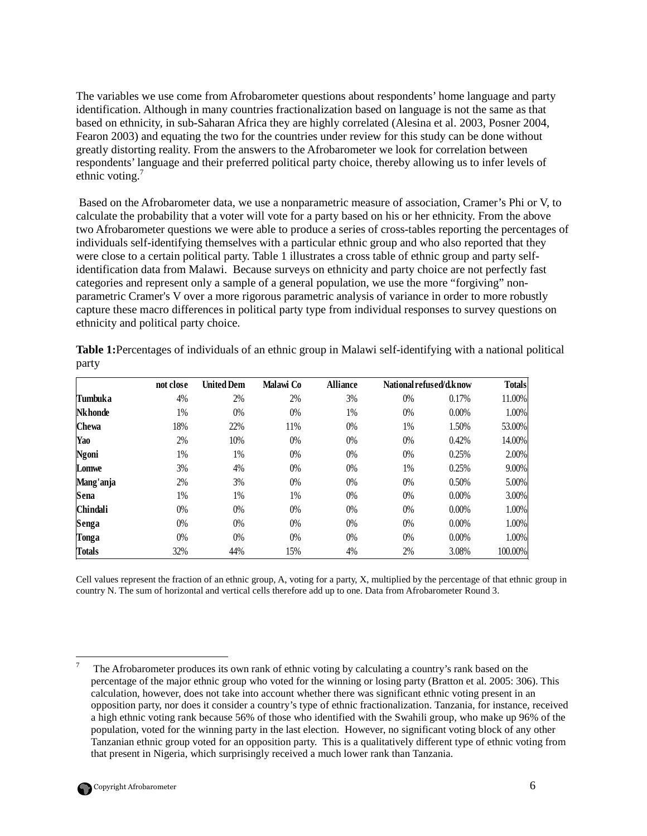The variables we use come from Afrobarometer questions about respondents' home language and party identification. Although in many countries fractionalization based on language is not the same as that based on ethnicity, in sub-Saharan Africa they are highly correlated (Alesina et al. 2003, Posner 2004, Fearon 2003) and equating the two for the countries under review for this study can be done without greatly distorting reality. From the answers to the Afrobarometer we look for correlation between respondents' language and their preferred political party choice, thereby allowing us to infer levels of ethnic voting. $<sup>7</sup>$ </sup>

 Based on the Afrobarometer data, we use a nonparametric measure of association, Cramer's Phi or V, to calculate the probability that a voter will vote for a party based on his or her ethnicity. From the above two Afrobarometer questions we were able to produce a series of cross-tables reporting the percentages of individuals self-identifying themselves with a particular ethnic group and who also reported that they were close to a certain political party. Table 1 illustrates a cross table of ethnic group and party selfidentification data from Malawi. Because surveys on ethnicity and party choice are not perfectly fast categories and represent only a sample of a general population, we use the more "forgiving" nonparametric Cramer's V over a more rigorous parametric analysis of variance in order to more robustly capture these macro differences in political party type from individual responses to survey questions on ethnicity and political party choice.

|                 | not close | <b>United Dem</b> | Malawi Co | <b>Alliance</b> | National refused/d.know |          | <b>Totals</b> |
|-----------------|-----------|-------------------|-----------|-----------------|-------------------------|----------|---------------|
| <b>Tumbuka</b>  | 4%        | 2%                | 2%        | 3%              | 0%                      | 0.17%    | 11.00%        |
| <b>Nk</b> honde | 1%        | 0%                | $0\%$     | 1%              | 0%                      | $0.00\%$ | 1.00%         |
| <b>Chewa</b>    | 18%       | 22%               | 11%       | $0\%$           | 1%                      | 1.50%    | 53.00%        |
| Yao             | 2%        | 10%               | $0\%$     | 0%              | 0%                      | 0.42%    | 14.00%        |
| Ngoni           | 1%        | 1%                | $0\%$     | 0%              | 0%                      | 0.25%    | 2.00%         |
| Lomwe           | 3%        | 4%                | $0\%$     | 0%              | 1%                      | 0.25%    | 9.00%         |
| Mang'anja       | 2%        | 3%                | $0\%$     | 0%              | 0%                      | 0.50%    | 5.00%         |
| Sena            | 1%        | 1%                | 1%        | 0%              | 0%                      | $0.00\%$ | 3.00%         |
| <b>Chindali</b> | 0%        | 0%                | $0\%$     | 0%              | 0%                      | 0.00%    | 1.00%         |
| Senga           | 0%        | 0%                | $0\%$     | $0\%$           | $0\%$                   | 0.00%    | $1.00\%$      |
| Tonga           | 0%        | 0%                | $0\%$     | 0%              | 0%                      | 0.00%    | 1.00%         |
| Totals          | 32%       | 44%               | 15%       | 4%              | 2%                      | 3.08%    | 100.00%       |

**Table 1:**Percentages of individuals of an ethnic group in Malawi self-identifying with a national political party

Cell values represent the fraction of an ethnic group, A, voting for a party, X, multiplied by the percentage of that ethnic group in country N. The sum of horizontal and vertical cells therefore add up to one. Data from Afrobarometer Round 3.

<u>.</u>

<sup>7</sup> The Afrobarometer produces its own rank of ethnic voting by calculating a country's rank based on the percentage of the major ethnic group who voted for the winning or losing party (Bratton et al. 2005: 306). This calculation, however, does not take into account whether there was significant ethnic voting present in an opposition party, nor does it consider a country's type of ethnic fractionalization. Tanzania, for instance, received a high ethnic voting rank because 56% of those who identified with the Swahili group, who make up 96% of the population, voted for the winning party in the last election. However, no significant voting block of any other Tanzanian ethnic group voted for an opposition party. This is a qualitatively different type of ethnic voting from that present in Nigeria, which surprisingly received a much lower rank than Tanzania.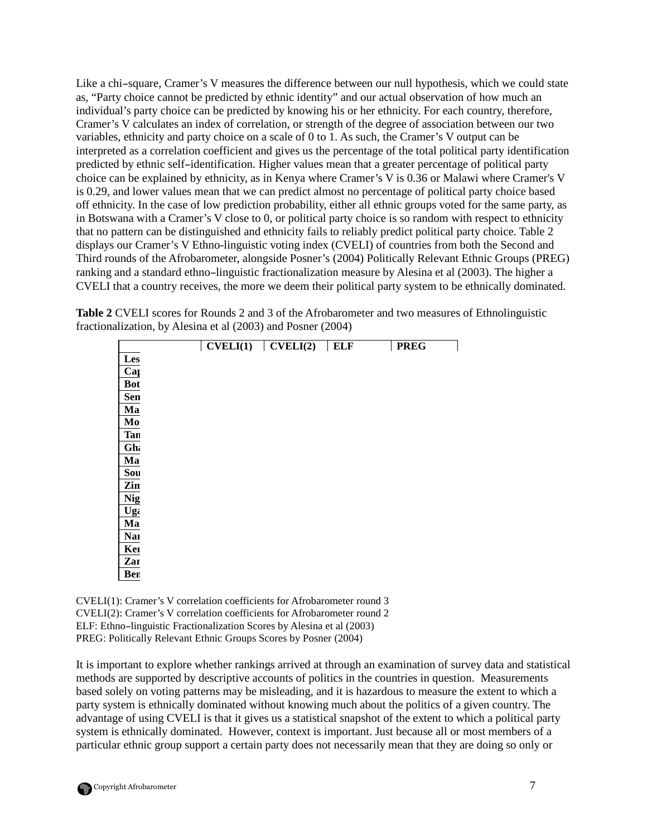Like a chi–square, Cramer's V measures the difference between our null hypothesis, which we could state as, "Party choice cannot be predicted by ethnic identity" and our actual observation of how much an individual's party choice can be predicted by knowing his or her ethnicity. For each country, therefore, Cramer's V calculates an index of correlation, or strength of the degree of association between our two variables, ethnicity and party choice on a scale of 0 to 1. As such, the Cramer's V output can be interpreted as a correlation coefficient and gives us the percentage of the total political party identification predicted by ethnic self–identification. Higher values mean that a greater percentage of political party choice can be explained by ethnicity, as in Kenya where Cramer's V is 0.36 or Malawi where Cramer's V is 0.29, and lower values mean that we can predict almost no percentage of political party choice based off ethnicity. In the case of low prediction probability, either all ethnic groups voted for the same party, as in Botswana with a Cramer's V close to 0, or political party choice is so random with respect to ethnicity that no pattern can be distinguished and ethnicity fails to reliably predict political party choice. Table 2 displays our Cramer's V Ethno-linguistic voting index (CVELI) of countries from both the Second and Third rounds of the Afrobarometer, alongside Posner's (2004) Politically Relevant Ethnic Groups (PREG) ranking and a standard ethno–linguistic fractionalization measure by Alesina et al (2003). The higher a CVELI that a country receives, the more we deem their political party system to be ethnically dominated.

**Table 2** CVELI scores for Rounds 2 and 3 of the Afrobarometer and two measures of Ethnolinguistic fractionalization, by Alesina et al (2003) and Posner (2004)

┑

|                     | $CVELI(1)$ $CVELI(2)$ |          | ELF    | <b>PREG</b> |
|---------------------|-----------------------|----------|--------|-------------|
| Les                 | 99929                 | 9.BZ7    | BVA    | Ŧ           |
| Cape Verde          | uwa                   |          | 8.42   |             |
| Botanana            | <u>9.182</u>          | 33 3 3 V | 日益日    | Ð           |
| Sen                 | 日日河                   |          | 88     | 88 B.B      |
| Ma                  | -9.13                 | 9.IV3    | 33.APP | 日主司         |
| Mornininner         | U.IZ8                 | U.IBZ    | 9.89   | USS         |
| Tan <b>Existing</b> | <u>U.ZUZ</u>          | SUBB     | 99 Y.A | 88 S.B      |
| $G$ hana            | 8269                  | 9.189    | 88 A.Z | U.44        |
| Madhementer         | -922                  |          | 8.88   | Ð           |
| Souih Africa        | 8231                  | 33 V.E.K | 9.73   | 9.49        |
| Zinimire            | 8,253                 | 99 994   | 9.39.  | SAI         |
| Nightin             | Ullbb                 | 9,318    | 63 X 5 | U.66        |
| Ugamin              | 0.269                 | 非常非常     | 33 P.E | HAR         |
| $\mathbf{M}$ ainean | 9.289                 | 88.      | 88 AV  | 81,33       |
| <b>Namibia</b>      | 非常                    | 9.232    | ii he  | 8.33        |
| <b>Kerwa</b>        | 0.338                 | 非常主义     | U.SS   | 887         |
| Zaribin             | 8361                  | 8289     | 88 F.H | 88 V B      |
| Ber                 | ugi                   |          | 9.79   | 9.3         |

CVELI(1): Cramer's V correlation coefficients for Afrobarometer round 3 CVELI(2): Cramer's V correlation coefficients for Afrobarometer round 2 ELF: Ethno–linguistic Fractionalization Scores by Alesina et al (2003) PREG: Politically Relevant Ethnic Groups Scores by Posner (2004)

It is important to explore whether rankings arrived at through an examination of survey data and statistical methods are supported by descriptive accounts of politics in the countries in question. Measurements based solely on voting patterns may be misleading, and it is hazardous to measure the extent to which a party system is ethnically dominated without knowing much about the politics of a given country. The advantage of using CVELI is that it gives us a statistical snapshot of the extent to which a political party system is ethnically dominated. However, context is important. Just because all or most members of a particular ethnic group support a certain party does not necessarily mean that they are doing so only or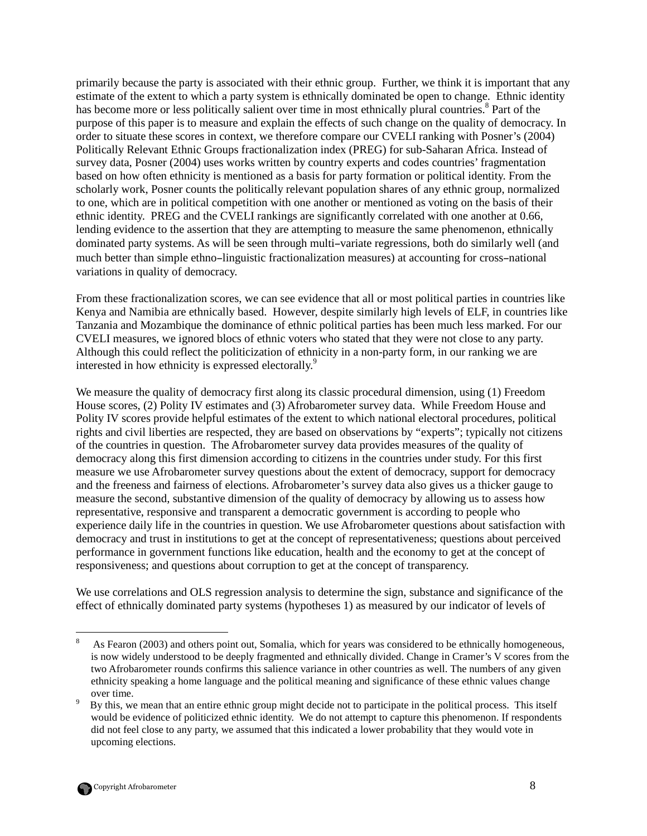primarily because the party is associated with their ethnic group. Further, we think it is important that any estimate of the extent to which a party system is ethnically dominated be open to change. Ethnic identity has become more or less politically salient over time in most ethnically plural countries.<sup>8</sup> Part of the purpose of this paper is to measure and explain the effects of such change on the quality of democracy. In order to situate these scores in context, we therefore compare our CVELI ranking with Posner's (2004) Politically Relevant Ethnic Groups fractionalization index (PREG) for sub-Saharan Africa. Instead of survey data, Posner (2004) uses works written by country experts and codes countries' fragmentation based on how often ethnicity is mentioned as a basis for party formation or political identity. From the scholarly work, Posner counts the politically relevant population shares of any ethnic group, normalized to one, which are in political competition with one another or mentioned as voting on the basis of their ethnic identity. PREG and the CVELI rankings are significantly correlated with one another at 0.66, lending evidence to the assertion that they are attempting to measure the same phenomenon, ethnically dominated party systems. As will be seen through multi–variate regressions, both do similarly well (and much better than simple ethno–linguistic fractionalization measures) at accounting for cross–national variations in quality of democracy.

From these fractionalization scores, we can see evidence that all or most political parties in countries like Kenya and Namibia are ethnically based. However, despite similarly high levels of ELF, in countries like Tanzania and Mozambique the dominance of ethnic political parties has been much less marked. For our CVELI measures, we ignored blocs of ethnic voters who stated that they were not close to any party. Although this could reflect the politicization of ethnicity in a non-party form, in our ranking we are interested in how ethnicity is expressed electorally.<sup>9</sup>

We measure the quality of democracy first along its classic procedural dimension, using (1) Freedom House scores, (2) Polity IV estimates and (3) Afrobarometer survey data. While Freedom House and Polity IV scores provide helpful estimates of the extent to which national electoral procedures, political rights and civil liberties are respected, they are based on observations by "experts"; typically not citizens of the countries in question. The Afrobarometer survey data provides measures of the quality of democracy along this first dimension according to citizens in the countries under study. For this first measure we use Afrobarometer survey questions about the extent of democracy, support for democracy and the freeness and fairness of elections. Afrobarometer's survey data also gives us a thicker gauge to measure the second, substantive dimension of the quality of democracy by allowing us to assess how representative, responsive and transparent a democratic government is according to people who experience daily life in the countries in question. We use Afrobarometer questions about satisfaction with democracy and trust in institutions to get at the concept of representativeness; questions about perceived performance in government functions like education, health and the economy to get at the concept of responsiveness; and questions about corruption to get at the concept of transparency.

We use correlations and OLS regression analysis to determine the sign, substance and significance of the effect of ethnically dominated party systems (hypotheses 1) as measured by our indicator of levels of

<u>.</u>

<sup>8</sup> As Fearon (2003) and others point out, Somalia, which for years was considered to be ethnically homogeneous, is now widely understood to be deeply fragmented and ethnically divided. Change in Cramer's V scores from the two Afrobarometer rounds confirms this salience variance in other countries as well. The numbers of any given ethnicity speaking a home language and the political meaning and significance of these ethnic values change over time.  $\overline{Q}$ 

By this, we mean that an entire ethnic group might decide not to participate in the political process. This itself would be evidence of politicized ethnic identity. We do not attempt to capture this phenomenon. If respondents did not feel close to any party, we assumed that this indicated a lower probability that they would vote in upcoming elections.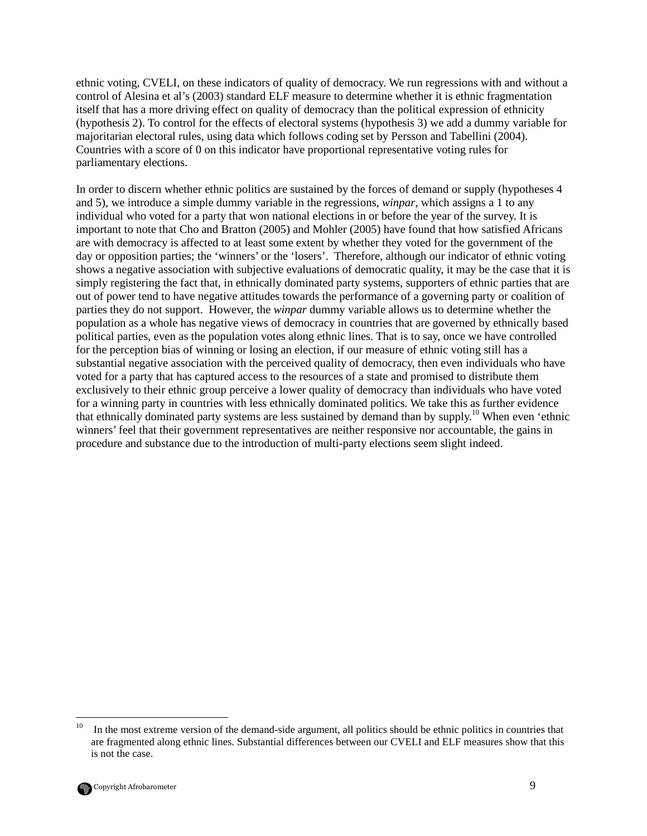ethnic voting, CVELI, on these indicators of quality of democracy. We run regressions with and without a control of Alesina et al's (2003) standard ELF measure to determine whether it is ethnic fragmentation itself that has a more driving effect on quality of democracy than the political expression of ethnicity (hypothesis 2). To control for the effects of electoral systems (hypothesis 3) we add a dummy variable for majoritarian electoral rules, using data which follows coding set by Persson and Tabellini (2004). Countries with a score of 0 on this indicator have proportional representative voting rules for parliamentary elections.

In order to discern whether ethnic politics are sustained by the forces of demand or supply (hypotheses 4 and 5), we introduce a simple dummy variable in the regressions, *winpar*, which assigns a 1 to any individual who voted for a party that won national elections in or before the year of the survey. It is important to note that Cho and Bratton (2005) and Mohler (2005) have found that how satisfied Africans are with democracy is affected to at least some extent by whether they voted for the government of the day or opposition parties; the 'winners' or the 'losers'. Therefore, although our indicator of ethnic voting shows a negative association with subjective evaluations of democratic quality, it may be the case that it is simply registering the fact that, in ethnically dominated party systems, supporters of ethnic parties that are out of power tend to have negative attitudes towards the performance of a governing party or coalition of parties they do not support. However, the *winpar* dummy variable allows us to determine whether the population as a whole has negative views of democracy in countries that are governed by ethnically based political parties, even as the population votes along ethnic lines. That is to say, once we have controlled for the perception bias of winning or losing an election, if our measure of ethnic voting still has a substantial negative association with the perceived quality of democracy, then even individuals who have voted for a party that has captured access to the resources of a state and promised to distribute them exclusively to their ethnic group perceive a lower quality of democracy than individuals who have voted for a winning party in countries with less ethnically dominated politics. We take this as further evidence that ethnically dominated party systems are less sustained by demand than by supply.<sup>10</sup> When even 'ethnic winners' feel that their government representatives are neither responsive nor accountable, the gains in procedure and substance due to the introduction of multi-party elections seem slight indeed.

<sup>&</sup>lt;u>.</u> <sup>10</sup> In the most extreme version of the demand-side argument, all politics should be ethnic politics in countries that are fragmented along ethnic lines. Substantial differences between our CVELI and ELF measures show that this is not the case.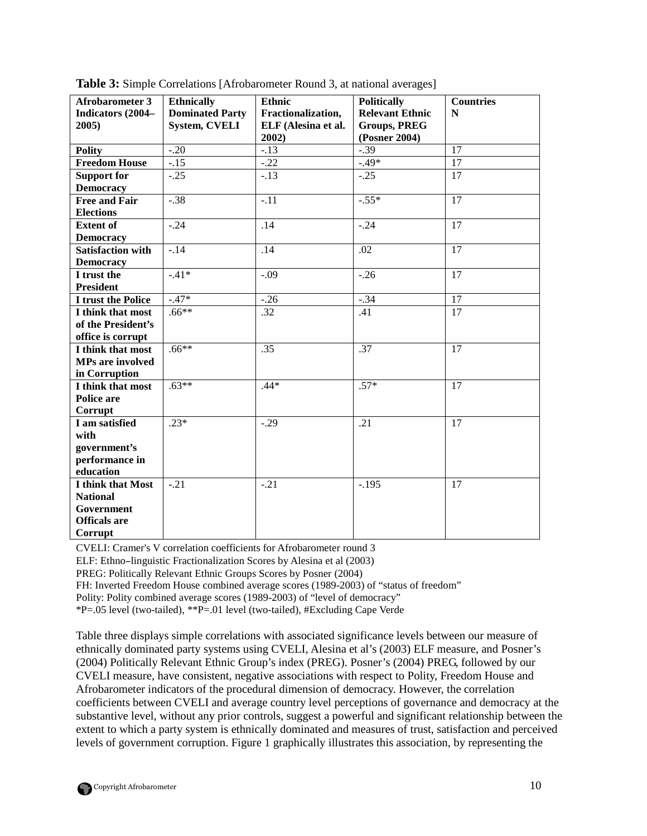| <b>Afrobarometer 3</b>   |                        | Ethnic              |                        | <b>Countries</b> |
|--------------------------|------------------------|---------------------|------------------------|------------------|
|                          | <b>Ethnically</b>      |                     | <b>Politically</b>     |                  |
| Indicators (2004–        | <b>Dominated Party</b> | Fractionalization,  | <b>Relevant Ethnic</b> | ${\bf N}$        |
| 2005)                    | <b>System, CVELI</b>   | ELF (Alesina et al. | <b>Groups, PREG</b>    |                  |
|                          |                        | 2002)               | (Posner 2004)          |                  |
| <b>Polity</b>            | $-.20$                 | $-13$               | $-0.39$                | $\overline{17}$  |
| <b>Freedom House</b>     | $-.15$                 | $-.22$              | $-49*$                 | 17               |
| <b>Support for</b>       | $-.25$                 | $-.13$              | $-.25$                 | 17               |
| <b>Democracy</b>         |                        |                     |                        |                  |
| <b>Free and Fair</b>     | $-.38$                 | $-.11$              | $-.55*$                | 17               |
| <b>Elections</b>         |                        |                     |                        |                  |
| <b>Extent of</b>         | $-.24$                 | .14                 | $-.24$                 | 17               |
| <b>Democracy</b>         |                        |                     |                        |                  |
| <b>Satisfaction with</b> | $-14$                  | $\overline{.14}$    | .02                    | $\overline{17}$  |
| <b>Democracy</b>         |                        |                     |                        |                  |
| I trust the              | $-.41*$                | $-.09$              | $-.26$                 | 17               |
| <b>President</b>         |                        |                     |                        |                  |
| I trust the Police       | $-.47*$                | $-26$               | $-0.34$                | $\overline{17}$  |
| I think that most        | $.66***$               | .32                 | .41                    | 17               |
| of the President's       |                        |                     |                        |                  |
| office is corrupt        |                        |                     |                        |                  |
| I think that most        | $.66**$                | .35                 | .37                    | 17               |
| <b>MPs are involved</b>  |                        |                     |                        |                  |
| in Corruption            |                        |                     |                        |                  |
| I think that most        | $.63**$                | $.44*$              | $.57*$                 | 17               |
| Police are               |                        |                     |                        |                  |
| Corrupt                  |                        |                     |                        |                  |
| I am satisfied           | $.23*$                 | $-.29$              | .21                    | 17               |
| with                     |                        |                     |                        |                  |
| government's             |                        |                     |                        |                  |
| performance in           |                        |                     |                        |                  |
| education                |                        |                     |                        |                  |
| I think that Most        | $-.21$                 | $-.21$              | $-.195$                | 17               |
| <b>National</b>          |                        |                     |                        |                  |
| Government               |                        |                     |                        |                  |
| <b>Officals</b> are      |                        |                     |                        |                  |
| Corrupt                  |                        |                     |                        |                  |

**Table 3:** Simple Correlations [Afrobarometer Round 3, at national averages]

CVELI: Cramer's V correlation coefficients for Afrobarometer round 3

ELF: Ethno–linguistic Fractionalization Scores by Alesina et al (2003)

PREG: Politically Relevant Ethnic Groups Scores by Posner (2004)

FH: Inverted Freedom House combined average scores (1989-2003) of "status of freedom"

Polity: Polity combined average scores (1989-2003) of "level of democracy"

\*P=.05 level (two-tailed), \*\*P=.01 level (two-tailed), #Excluding Cape Verde

Table three displays simple correlations with associated significance levels between our measure of ethnically dominated party systems using CVELI, Alesina et al's (2003) ELF measure, and Posner's (2004) Politically Relevant Ethnic Group's index (PREG). Posner's (2004) PREG, followed by our CVELI measure, have consistent, negative associations with respect to Polity, Freedom House and Afrobarometer indicators of the procedural dimension of democracy. However, the correlation coefficients between CVELI and average country level perceptions of governance and democracy at the substantive level, without any prior controls, suggest a powerful and significant relationship between the extent to which a party system is ethnically dominated and measures of trust, satisfaction and perceived levels of government corruption. Figure 1 graphically illustrates this association, by representing the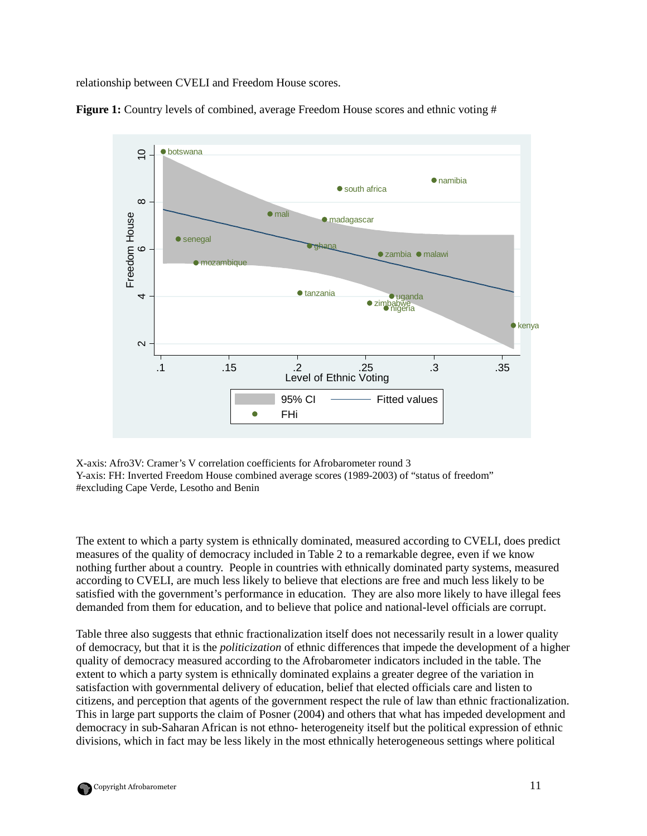relationship between CVELI and Freedom House scores.



**Figure 1:** Country levels of combined, average Freedom House scores and ethnic voting #

X-axis: Afro3V: Cramer's V correlation coefficients for Afrobarometer round 3 Y-axis: FH: Inverted Freedom House combined average scores (1989-2003) of "status of freedom" #excluding Cape Verde, Lesotho and Benin

The extent to which a party system is ethnically dominated, measured according to CVELI, does predict measures of the quality of democracy included in Table 2 to a remarkable degree, even if we know nothing further about a country. People in countries with ethnically dominated party systems, measured according to CVELI, are much less likely to believe that elections are free and much less likely to be satisfied with the government's performance in education. They are also more likely to have illegal fees demanded from them for education, and to believe that police and national-level officials are corrupt.

Table three also suggests that ethnic fractionalization itself does not necessarily result in a lower quality of democracy, but that it is the *politicization* of ethnic differences that impede the development of a higher quality of democracy measured according to the Afrobarometer indicators included in the table. The extent to which a party system is ethnically dominated explains a greater degree of the variation in satisfaction with governmental delivery of education, belief that elected officials care and listen to citizens, and perception that agents of the government respect the rule of law than ethnic fractionalization. This in large part supports the claim of Posner (2004) and others that what has impeded development and democracy in sub-Saharan African is not ethno- heterogeneity itself but the political expression of ethnic divisions, which in fact may be less likely in the most ethnically heterogeneous settings where political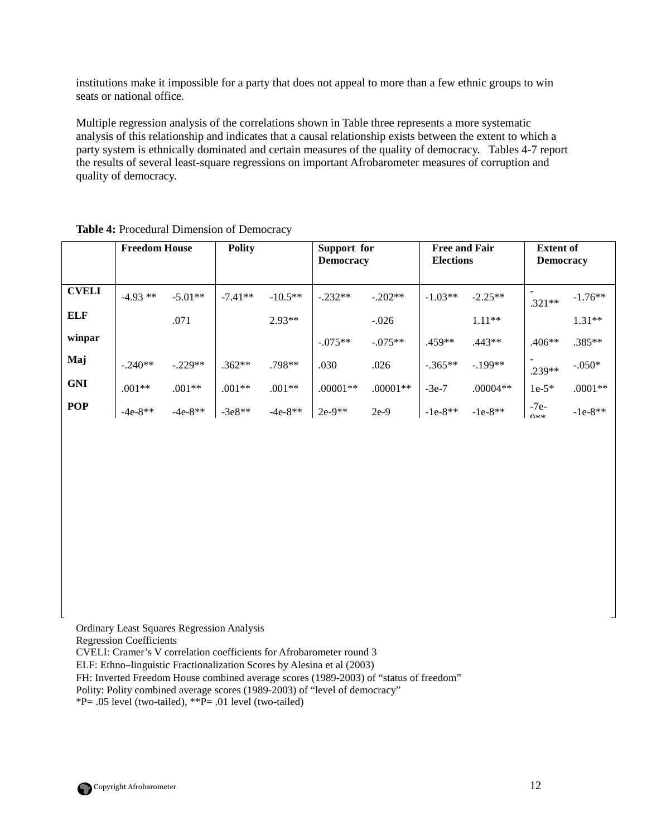institutions make it impossible for a party that does not appeal to more than a few ethnic groups to win seats or national office.

Multiple regression analysis of the correlations shown in Table three represents a more systematic analysis of this relationship and indicates that a causal relationship exists between the extent to which a party system is ethnically dominated and certain measures of the quality of democracy. Tables 4-7 report the results of several least-square regressions on important Afrobarometer measures of corruption and quality of democracy.

|              | <b>Freedom House</b> |           | <b>Polity</b> |           | Support for<br><b>Democracy</b> |            | <b>Free and Fair</b><br><b>Elections</b> |            | <b>Extent of</b><br><b>Democracy</b> |           |
|--------------|----------------------|-----------|---------------|-----------|---------------------------------|------------|------------------------------------------|------------|--------------------------------------|-----------|
| <b>CVELI</b> | $-4.93**$            | $-5.01**$ | $-7.41**$     | $-10.5**$ | $-.232**$                       | $-.202**$  | $-1.03**$                                | $-2.25**$  | $.321**$                             | $-1.76**$ |
| <b>ELF</b>   |                      | .071      |               | $2.93**$  |                                 | $-.026$    |                                          | $1.11**$   |                                      | $1.31**$  |
| winpar       |                      |           |               |           | $-0.075**$                      | $-.075**$  | .459**                                   | .443**     | $.406**$                             | $.385**$  |
| Maj          | $-240**$             | $-.229**$ | $.362**$      | $.798**$  | .030                            | .026       | $-.365**$                                | $-199**$   | .239**                               | $-.050*$  |
| <b>GNI</b>   | $.001**$             | $.001**$  | $.001**$      | $.001**$  | $.00001**$                      | $.00001**$ | $-3e-7$                                  | $.00004**$ | $1e-5*$                              | $.0001**$ |
| <b>POP</b>   | $-4e-8**$            | $-4e-8**$ | $-3e8**$      | $-4e-8**$ | $2e-9**$                        | $2e-9$     | $-1e-8**$                                | $-1e-8**$  | $-7e-$<br>$0**$                      | $-1e-8**$ |

# **Table 4:** Procedural Dimension of Democracy

Ordinary Least Squares Regression Analysis

Regression Coefficients

CVELI: Cramer's V correlation coefficients for Afrobarometer round 3

ELF: Ethno–linguistic Fractionalization Scores by Alesina et al (2003)

FH: Inverted Freedom House combined average scores (1989-2003) of "status of freedom"

Polity: Polity combined average scores (1989-2003) of "level of democracy"

 $*P = .05$  level (two-tailed),  $*P = .01$  level (two-tailed)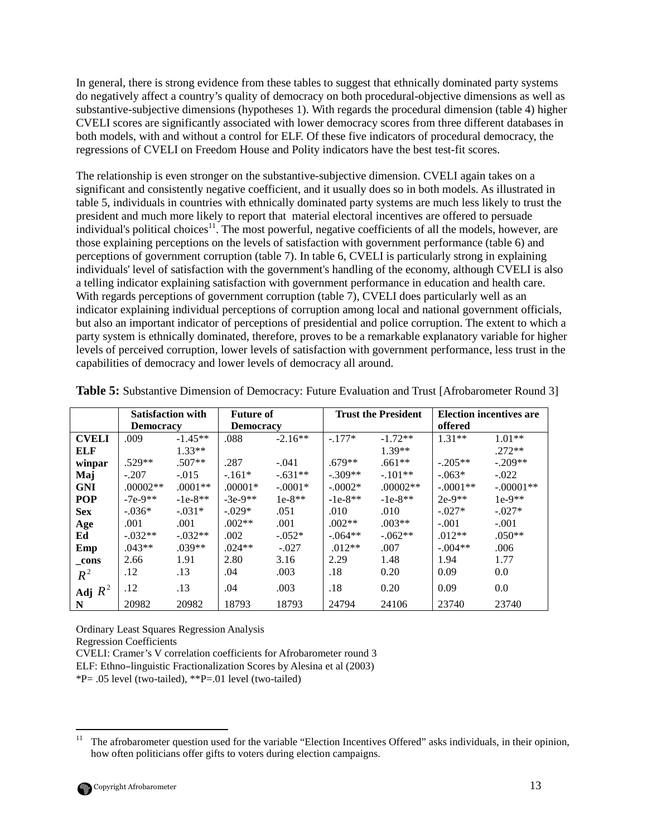In general, there is strong evidence from these tables to suggest that ethnically dominated party systems do negatively affect a country's quality of democracy on both procedural-objective dimensions as well as substantive-subjective dimensions (hypotheses 1). With regards the procedural dimension (table 4) higher CVELI scores are significantly associated with lower democracy scores from three different databases in both models, with and without a control for ELF. Of these five indicators of procedural democracy, the regressions of CVELI on Freedom House and Polity indicators have the best test-fit scores.

The relationship is even stronger on the substantive-subjective dimension. CVELI again takes on a significant and consistently negative coefficient, and it usually does so in both models. As illustrated in table 5, individuals in countries with ethnically dominated party systems are much less likely to trust the president and much more likely to report that material electoral incentives are offered to persuade  $\frac{1}{2}$  individual's political choices<sup>11</sup>. The most powerful, negative coefficients of all the models, however, are those explaining perceptions on the levels of satisfaction with government performance (table 6) and perceptions of government corruption (table 7). In table 6, CVELI is particularly strong in explaining individuals' level of satisfaction with the government's handling of the economy, although CVELI is also a telling indicator explaining satisfaction with government performance in education and health care. With regards perceptions of government corruption (table 7), CVELI does particularly well as an indicator explaining individual perceptions of corruption among local and national government officials, but also an important indicator of perceptions of presidential and police corruption. The extent to which a party system is ethnically dominated, therefore, proves to be a remarkable explanatory variable for higher levels of perceived corruption, lower levels of satisfaction with government performance, less trust in the capabilities of democracy and lower levels of democracy all around.

|              | <b>Satisfaction with</b> |           | <b>Future of</b> |           |           | <b>Trust the President</b> | <b>Election incentives are</b> |             |  |
|--------------|--------------------------|-----------|------------------|-----------|-----------|----------------------------|--------------------------------|-------------|--|
|              | <b>Democracy</b>         |           | <b>Democracy</b> |           |           |                            | offered                        |             |  |
| <b>CVELI</b> | .009                     | $-1.45**$ | .088             | $-2.16**$ | $-.177*$  | $-1.72**$                  | $1.31**$                       | $1.01**$    |  |
| ELF          |                          | $1.33**$  |                  |           |           | $1.39**$                   |                                | $.272**$    |  |
| winpar       | $.529**$                 | $.507**$  | .287             | $-.041$   | $.679**$  | $.661**$                   | $-.205**$                      | $-209**$    |  |
| Maj          | $-.207$                  | $-.015$   | $-.161*$         | $-.631**$ | $-.309**$ | $-.101**$                  | $-.063*$                       | $-.022$     |  |
| <b>GNI</b>   | $.00002**$               | $.0001**$ | $.00001*$        | $-.0001*$ | $-.0002*$ | $.00002**$                 | $-.0001**$                     | $-.00001**$ |  |
| <b>POP</b>   | $-7e-9**$                | $-1e-8**$ | $-3e-9**$        | $1e-8**$  | $-1e-8**$ | $-1e-8**$                  | $2e-9**$                       | $1e-9**$    |  |
| <b>Sex</b>   | $-.036*$                 | $-.031*$  | $-.029*$         | .051      | .010      | .010                       | $-.027*$                       | $-.027*$    |  |
| Age          | .001                     | .001      | $.002**$         | .001      | $.002**$  | $.003**$                   | $-.001$                        | $-.001$     |  |
| Ed           | $-.032**$                | $-.032**$ | .002             | $-.052*$  | $-.064**$ | $-.062**$                  | $.012**$                       | $.050**$    |  |
| Emp          | $.043**$                 | $.039**$  | $.024**$         | $-.027$   | $.012**$  | .007                       | $-.004**$                      | .006        |  |
| cons         | 2.66                     | 1.91      | 2.80             | 3.16      | 2.29      | 1.48                       | 1.94                           | 1.77        |  |
| $R^2$        | .12                      | .13       | .04              | .003      | .18       | 0.20                       | 0.09                           | 0.0         |  |
| Adj $R^2$    | .12                      | .13       | .04              | .003      | .18       | 0.20                       | 0.09                           | 0.0         |  |
| N            | 20982                    | 20982     | 18793            | 18793     | 24794     | 24106                      | 23740                          | 23740       |  |

**Table 5:** Substantive Dimension of Democracy: Future Evaluation and Trust [Afrobarometer Round 3]

Ordinary Least Squares Regression Analysis

Regression Coefficients

CVELI: Cramer's V correlation coefficients for Afrobarometer round 3

ELF: Ethno–linguistic Fractionalization Scores by Alesina et al (2003)

\*P= .05 level (two-tailed), \*\*P=.01 level (two-tailed)

 $11\,$ <sup>11</sup> The afrobarometer question used for the variable "Election Incentives Offered" asks individuals, in their opinion, how often politicians offer gifts to voters during election campaigns.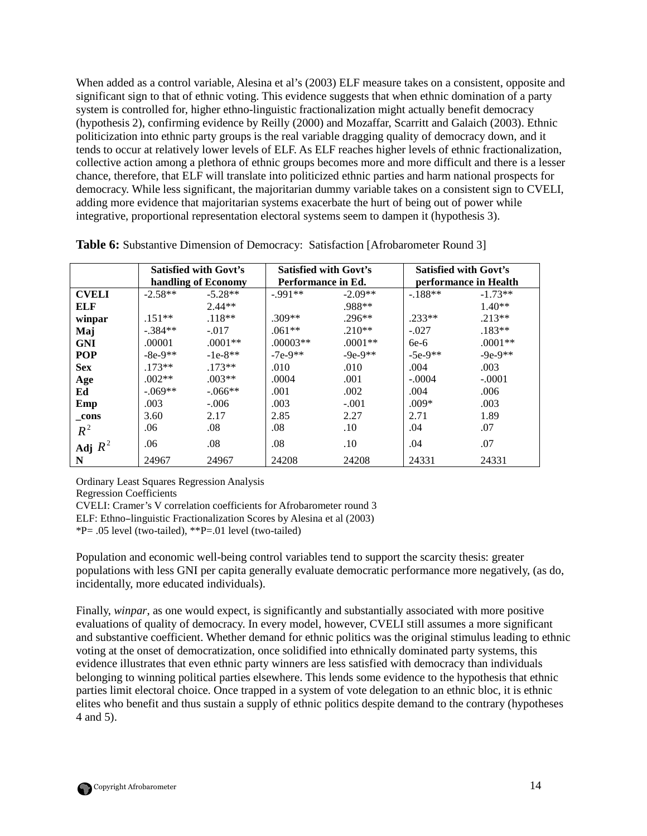When added as a control variable, Alesina et al's (2003) ELF measure takes on a consistent, opposite and significant sign to that of ethnic voting. This evidence suggests that when ethnic domination of a party system is controlled for, higher ethno-linguistic fractionalization might actually benefit democracy (hypothesis 2), confirming evidence by Reilly (2000) and Mozaffar, Scarritt and Galaich (2003). Ethnic politicization into ethnic party groups is the real variable dragging quality of democracy down, and it tends to occur at relatively lower levels of ELF. As ELF reaches higher levels of ethnic fractionalization, collective action among a plethora of ethnic groups becomes more and more difficult and there is a lesser chance, therefore, that ELF will translate into politicized ethnic parties and harm national prospects for democracy. While less significant, the majoritarian dummy variable takes on a consistent sign to CVELI, adding more evidence that majoritarian systems exacerbate the hurt of being out of power while integrative, proportional representation electoral systems seem to dampen it (hypothesis 3).

|              | <b>Satisfied with Govt's</b><br>handling of Economy |           | <b>Satisfied with Govt's</b> |           | <b>Satisfied with Govt's</b> |           |  |
|--------------|-----------------------------------------------------|-----------|------------------------------|-----------|------------------------------|-----------|--|
|              |                                                     |           | Performance in Ed.           |           | performance in Health        |           |  |
| <b>CVELI</b> | $-2.58**$                                           | $-5.28**$ | $-991**$                     | $-2.09**$ | $-.188**$                    | $-1.73**$ |  |
| ELF          |                                                     | $2.44**$  |                              | .988**    |                              | $1.40**$  |  |
| winpar       | $.151**$                                            | $.118**$  | $.309**$                     | $.296**$  | $.233**$                     | $.213**$  |  |
| Maj          | $-.384**$                                           | $-.017$   | $.061**$                     | $.210**$  | $-.027$                      | $.183**$  |  |
| <b>GNI</b>   | .00001                                              | $.0001**$ | $.00003**$                   | $.0001**$ | $6e-6$                       | $.0001**$ |  |
| <b>POP</b>   | $-8e-9**$                                           | $-1e-8**$ | $-7e-9**$                    | $-9e-9**$ | $-5e-9**$                    | $-9e-9**$ |  |
| <b>Sex</b>   | $.173**$                                            | $.173**$  | .010                         | .010      | .004                         | .003      |  |
| Age          | $.002**$                                            | $.003**$  | .0004                        | .001      | $-.0004$                     | $-.0001$  |  |
| Ed           | $-.069**$                                           | $-.066**$ | .001                         | .002      | .004                         | .006      |  |
| Emp          | .003                                                | $-.006$   | .003                         | $-.001$   | $.009*$                      | .003      |  |
| _cons        | 3.60                                                | 2.17      | 2.85                         | 2.27      | 2.71                         | 1.89      |  |
| $R^2$        | .06                                                 | .08       | .08                          | .10       | .04                          | .07       |  |
| Adj $R^2$    | .06                                                 | .08       | .08                          | .10       | .04                          | .07       |  |
| N            | 24967                                               | 24967     | 24208                        | 24208     | 24331                        | 24331     |  |

**Table 6:** Substantive Dimension of Democracy: Satisfaction [Afrobarometer Round 3]

Ordinary Least Squares Regression Analysis

Regression Coefficients

CVELI: Cramer's V correlation coefficients for Afrobarometer round 3

ELF: Ethno–linguistic Fractionalization Scores by Alesina et al (2003)

\*P= .05 level (two-tailed), \*\*P=.01 level (two-tailed)

Population and economic well-being control variables tend to support the scarcity thesis: greater populations with less GNI per capita generally evaluate democratic performance more negatively, (as do, incidentally, more educated individuals).

Finally, *winpar*, as one would expect, is significantly and substantially associated with more positive evaluations of quality of democracy. In every model, however, CVELI still assumes a more significant and substantive coefficient. Whether demand for ethnic politics was the original stimulus leading to ethnic voting at the onset of democratization, once solidified into ethnically dominated party systems, this evidence illustrates that even ethnic party winners are less satisfied with democracy than individuals belonging to winning political parties elsewhere. This lends some evidence to the hypothesis that ethnic parties limit electoral choice. Once trapped in a system of vote delegation to an ethnic bloc, it is ethnic elites who benefit and thus sustain a supply of ethnic politics despite demand to the contrary (hypotheses 4 and 5).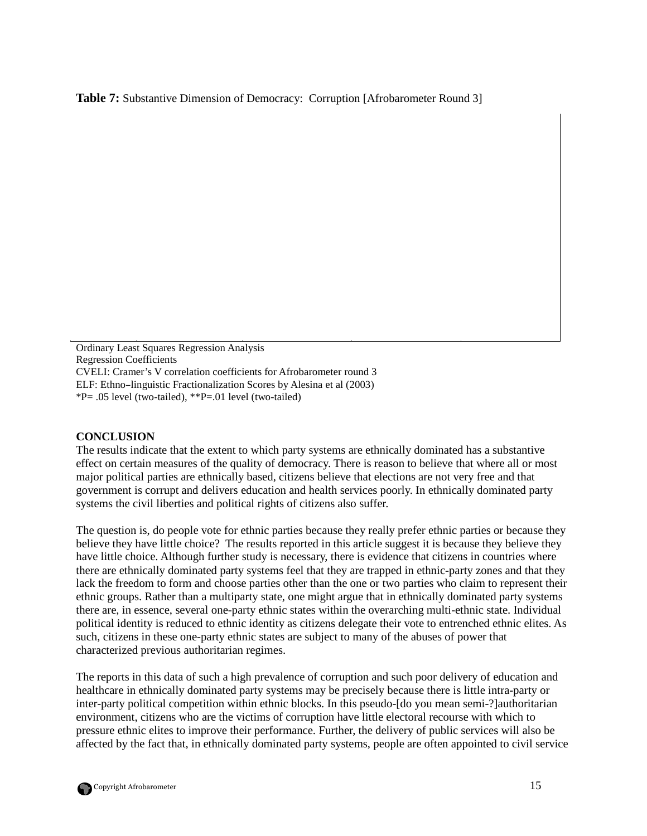**Table 7:** Substantive Dimension of Democracy: Corruption [Afrobarometer Round 3]

Ordinary Least Squares Regression Analysis Regression Coefficients CVELI: Cramer's V correlation coefficients for Afrobarometer round 3 ELF: Ethno–linguistic Fractionalization Scores by Alesina et al (2003) \*P= .05 level (two-tailed), \*\*P=.01 level (two-tailed)

### **CONCLUSION**

The results indicate that the extent to which party systems are ethnically dominated has a substantive effect on certain measures of the quality of democracy. There is reason to believe that where all or most major political parties are ethnically based, citizens believe that elections are not very free and that government is corrupt and delivers education and health services poorly. In ethnically dominated party systems the civil liberties and political rights of citizens also suffer.

**N** 20017 20017 19419 19419 24967 24967 21677 21677

The question is, do people vote for ethnic parties because they really prefer ethnic parties or because they believe they have little choice? The results reported in this article suggest it is because they believe they have little choice. Although further study is necessary, there is evidence that citizens in countries where there are ethnically dominated party systems feel that they are trapped in ethnic-party zones and that they lack the freedom to form and choose parties other than the one or two parties who claim to represent their ethnic groups. Rather than a multiparty state, one might argue that in ethnically dominated party systems there are, in essence, several one-party ethnic states within the overarching multi-ethnic state. Individual political identity is reduced to ethnic identity as citizens delegate their vote to entrenched ethnic elites. As such, citizens in these one-party ethnic states are subject to many of the abuses of power that characterized previous authoritarian regimes.

The reports in this data of such a high prevalence of corruption and such poor delivery of education and healthcare in ethnically dominated party systems may be precisely because there is little intra-party or inter-party political competition within ethnic blocks. In this pseudo-[do you mean semi-?]authoritarian environment, citizens who are the victims of corruption have little electoral recourse with which to pressure ethnic elites to improve their performance. Further, the delivery of public services will also be affected by the fact that, in ethnically dominated party systems, people are often appointed to civil service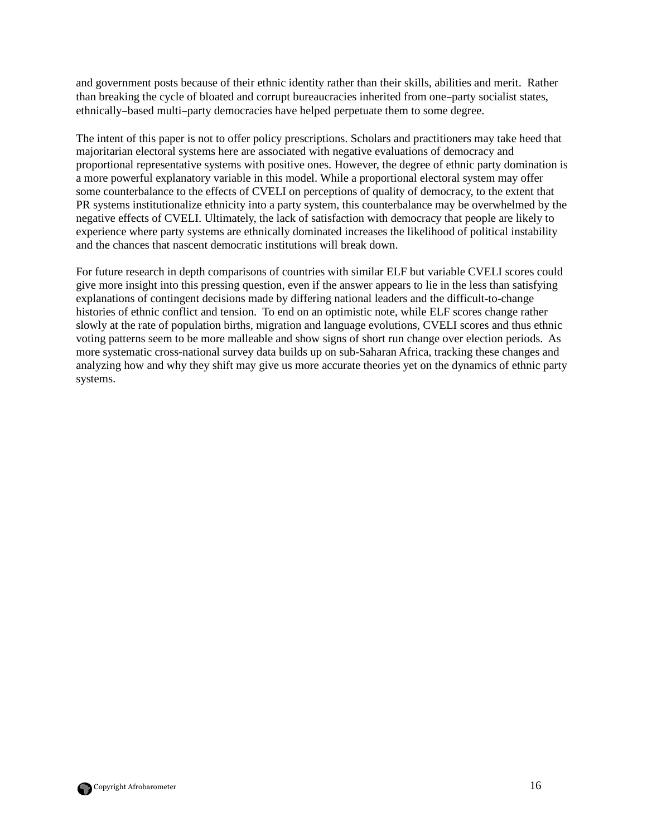and government posts because of their ethnic identity rather than their skills, abilities and merit. Rather than breaking the cycle of bloated and corrupt bureaucracies inherited from one–party socialist states, ethnically–based multi–party democracies have helped perpetuate them to some degree.

The intent of this paper is not to offer policy prescriptions. Scholars and practitioners may take heed that majoritarian electoral systems here are associated with negative evaluations of democracy and proportional representative systems with positive ones. However, the degree of ethnic party domination is a more powerful explanatory variable in this model. While a proportional electoral system may offer some counterbalance to the effects of CVELI on perceptions of quality of democracy, to the extent that PR systems institutionalize ethnicity into a party system, this counterbalance may be overwhelmed by the negative effects of CVELI. Ultimately, the lack of satisfaction with democracy that people are likely to experience where party systems are ethnically dominated increases the likelihood of political instability and the chances that nascent democratic institutions will break down.

For future research in depth comparisons of countries with similar ELF but variable CVELI scores could give more insight into this pressing question, even if the answer appears to lie in the less than satisfying explanations of contingent decisions made by differing national leaders and the difficult-to-change histories of ethnic conflict and tension. To end on an optimistic note, while ELF scores change rather slowly at the rate of population births, migration and language evolutions, CVELI scores and thus ethnic voting patterns seem to be more malleable and show signs of short run change over election periods. As more systematic cross-national survey data builds up on sub-Saharan Africa, tracking these changes and analyzing how and why they shift may give us more accurate theories yet on the dynamics of ethnic party systems.

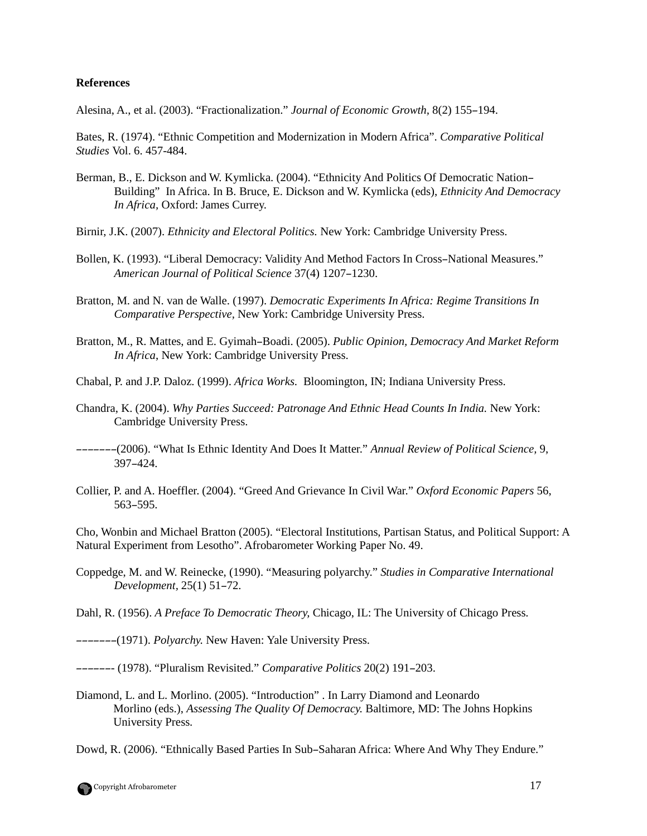#### **References**

Alesina, A., et al. (2003). "Fractionalization." *Journal of Economic Growth,* 8(2) 155–194.

Bates, R. (1974). "Ethnic Competition and Modernization in Modern Africa". *Comparative Political Studies* Vol. 6. 457-484.

- Berman, B., E. Dickson and W. Kymlicka. (2004). "Ethnicity And Politics Of Democratic Nation– Building" In Africa. In B. Bruce, E. Dickson and W. Kymlicka (eds), *Ethnicity And Democracy In Africa,* Oxford: James Currey.
- Birnir, J.K. (2007). *Ethnicity and Electoral Politics.* New York: Cambridge University Press.
- Bollen, K. (1993). "Liberal Democracy: Validity And Method Factors In Cross–National Measures." *American Journal of Political Science* 37(4) 1207–1230.
- Bratton, M. and N. van de Walle. (1997). *Democratic Experiments In Africa: Regime Transitions In Comparative Perspective,* New York: Cambridge University Press.
- Bratton, M., R. Mattes, and E. Gyimah–Boadi. (2005). *Public Opinion, Democracy And Market Reform In Africa*, New York: Cambridge University Press.
- Chabal, P. and J.P. Daloz. (1999). *Africa Works.* Bloomington, IN; Indiana University Press.
- Chandra, K. (2004). *Why Parties Succeed: Patronage And Ethnic Head Counts In India.* New York: Cambridge University Press.
- –––––––(2006). "What Is Ethnic Identity And Does It Matter." *Annual Review of Political Science,* 9, 397–424.
- Collier, P. and A. Hoeffler. (2004). "Greed And Grievance In Civil War." *Oxford Economic Papers* 56, 563–595.

Cho, Wonbin and Michael Bratton (2005). "Electoral Institutions, Partisan Status, and Political Support: A Natural Experiment from Lesotho". Afrobarometer Working Paper No. 49.

- Coppedge, M. and W. Reinecke, (1990). "Measuring polyarchy." *Studies in Comparative International Development,* 25(1) 51–72.
- Dahl, R. (1956). *A Preface To Democratic Theory,* Chicago, IL: The University of Chicago Press.
- –––––––(1971). *Polyarchy.* New Haven: Yale University Press.
- ––––––- (1978). "Pluralism Revisited." *Comparative Politics* 20(2) 191–203.
- Diamond, L. and L. Morlino. (2005). "Introduction" . In Larry Diamond and Leonardo Morlino (eds.), *Assessing The Quality Of Democracy.* Baltimore, MD: The Johns Hopkins University Press.

Dowd, R. (2006). "Ethnically Based Parties In Sub–Saharan Africa: Where And Why They Endure."

Copyright Afrobarometer 17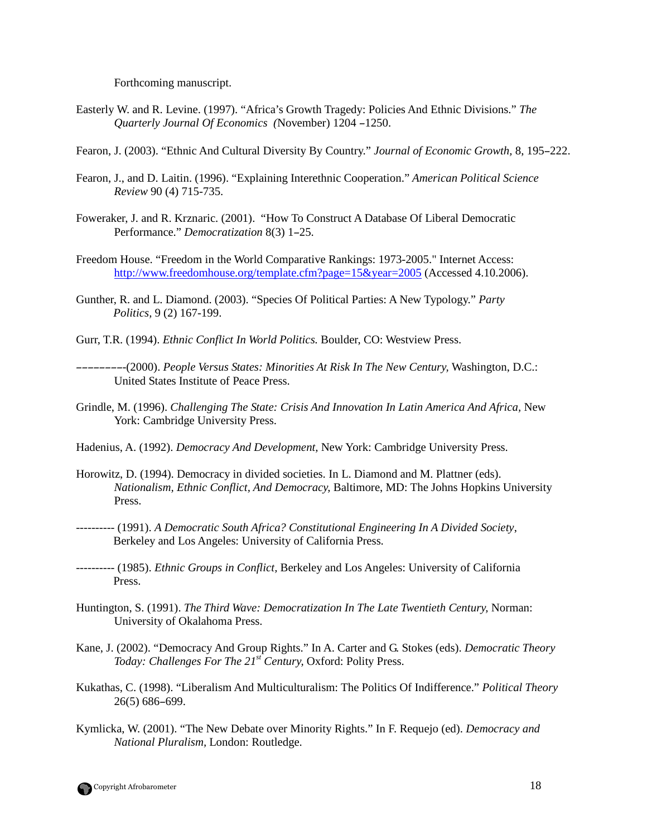Forthcoming manuscript.

- Easterly W. and R. Levine. (1997). "Africa's Growth Tragedy: Policies And Ethnic Divisions." *The Quarterly Journal Of Economics (*November) 1204 –1250.
- Fearon, J. (2003). "Ethnic And Cultural Diversity By Country." *Journal of Economic Growth,* 8, 195–222.
- Fearon, J., and D. Laitin. (1996). "Explaining Interethnic Cooperation." *American Political Science Review* 90 (4) 715-735.
- Foweraker, J. and R. Krznaric. (2001). "How To Construct A Database Of Liberal Democratic Performance." *Democratization* 8(3) 1–25.
- Freedom House. "Freedom in the World Comparative Rankings: 1973-2005." Internet Access: http://www.freedomhouse.org/template.cfm?page=15&year=2005 (Accessed 4.10.2006).
- Gunther, R. and L. Diamond. (2003). "Species Of Political Parties: A New Typology." *Party Politics,* 9 (2) 167-199.
- Gurr, T.R. (1994). *Ethnic Conflict In World Politics.* Boulder, CO: Westview Press.
- ––––––––-(2000). *People Versus States: Minorities At Risk In The New Century,* Washington, D.C.: United States Institute of Peace Press.
- Grindle, M. (1996). *Challenging The State: Crisis And Innovation In Latin America And Africa,* New York: Cambridge University Press.
- Hadenius, A. (1992). *Democracy And Development,* New York: Cambridge University Press.
- Horowitz, D. (1994). Democracy in divided societies. In L. Diamond and M. Plattner (eds). *Nationalism, Ethnic Conflict, And Democracy,* Baltimore, MD: The Johns Hopkins University Press.
- ---------- (1991). *A Democratic South Africa? Constitutional Engineering In A Divided Society*, Berkeley and Los Angeles: University of California Press.
- ---------- (1985). *Ethnic Groups in Conflict,* Berkeley and Los Angeles: University of California Press.
- Huntington, S. (1991). *The Third Wave: Democratization In The Late Twentieth Century,* Norman: University of Okalahoma Press.
- Kane, J. (2002). "Democracy And Group Rights." In A. Carter and G. Stokes (eds). *Democratic Theory Today: Challenges For The 21st Century,* Oxford: Polity Press.
- Kukathas, C. (1998). "Liberalism And Multiculturalism: The Politics Of Indifference." *Political Theory*  26(5) 686–699.
- Kymlicka, W. (2001). "The New Debate over Minority Rights." In F. Requejo (ed). *Democracy and National Pluralism,* London: Routledge.

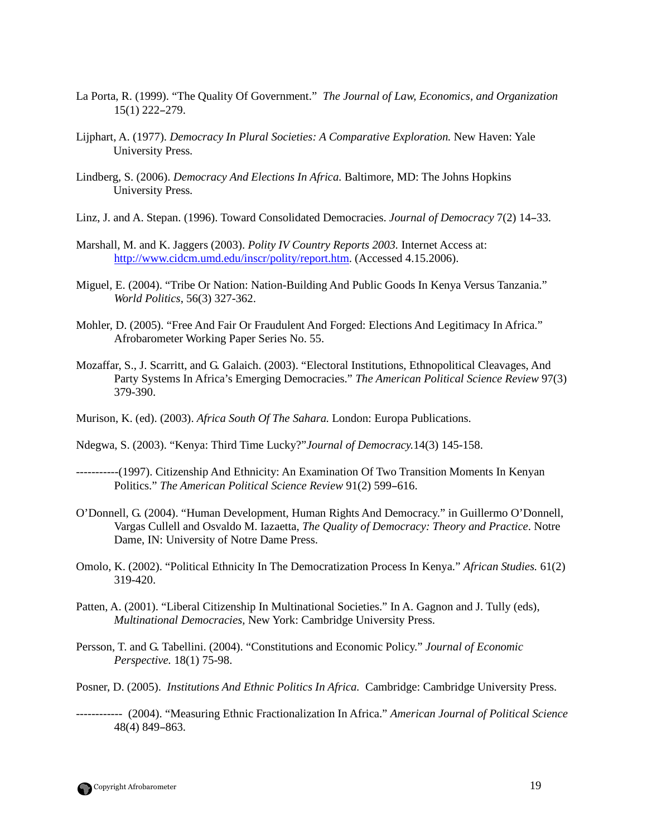- La Porta, R. (1999). "The Quality Of Government." *The Journal of Law, Economics, and Organization*  15(1) 222–279.
- Lijphart, A. (1977). *Democracy In Plural Societies: A Comparative Exploration.* New Haven: Yale University Press.
- Lindberg, S. (2006). *Democracy And Elections In Africa.* Baltimore, MD: The Johns Hopkins University Press.
- Linz, J. and A. Stepan. (1996). Toward Consolidated Democracies. *Journal of Democracy* 7(2) 14–33.
- Marshall, M. and K. Jaggers (2003). *Polity IV Country Reports 2003.* Internet Access at: http://www.cidcm.umd.edu/inscr/polity/report.htm. (Accessed 4.15.2006).
- Miguel, E. (2004). "Tribe Or Nation: Nation-Building And Public Goods In Kenya Versus Tanzania." *World Politics*, 56(3) 327-362.
- Mohler, D. (2005). "Free And Fair Or Fraudulent And Forged: Elections And Legitimacy In Africa." Afrobarometer Working Paper Series No. 55.
- Mozaffar, S., J. Scarritt, and G. Galaich. (2003). "Electoral Institutions, Ethnopolitical Cleavages, And Party Systems In Africa's Emerging Democracies." *The American Political Science Review* 97(3) 379-390.
- Murison, K. (ed). (2003). *Africa South Of The Sahara.* London: Europa Publications.
- Ndegwa, S. (2003). "Kenya: Third Time Lucky?"*Journal of Democracy.*14(3) 145-158.
- -----------(1997). Citizenship And Ethnicity: An Examination Of Two Transition Moments In Kenyan Politics." *The American Political Science Review* 91(2) 599–616.
- O'Donnell, G. (2004). "Human Development, Human Rights And Democracy." in Guillermo O'Donnell, Vargas Cullell and Osvaldo M. Iazaetta, *The Quality of Democracy: Theory and Practice*. Notre Dame, IN: University of Notre Dame Press.
- Omolo, K. (2002). "Political Ethnicity In The Democratization Process In Kenya." *African Studies.* 61(2) 319-420.
- Patten, A. (2001). "Liberal Citizenship In Multinational Societies." In A. Gagnon and J. Tully (eds), *Multinational Democracies,* New York: Cambridge University Press.
- Persson, T. and G. Tabellini. (2004). "Constitutions and Economic Policy." *Journal of Economic Perspective.* 18(1) 75-98.
- Posner, D. (2005). *Institutions And Ethnic Politics In Africa.* Cambridge: Cambridge University Press.
- ------------ (2004). "Measuring Ethnic Fractionalization In Africa." *American Journal of Political Science* 48(4) 849–863.

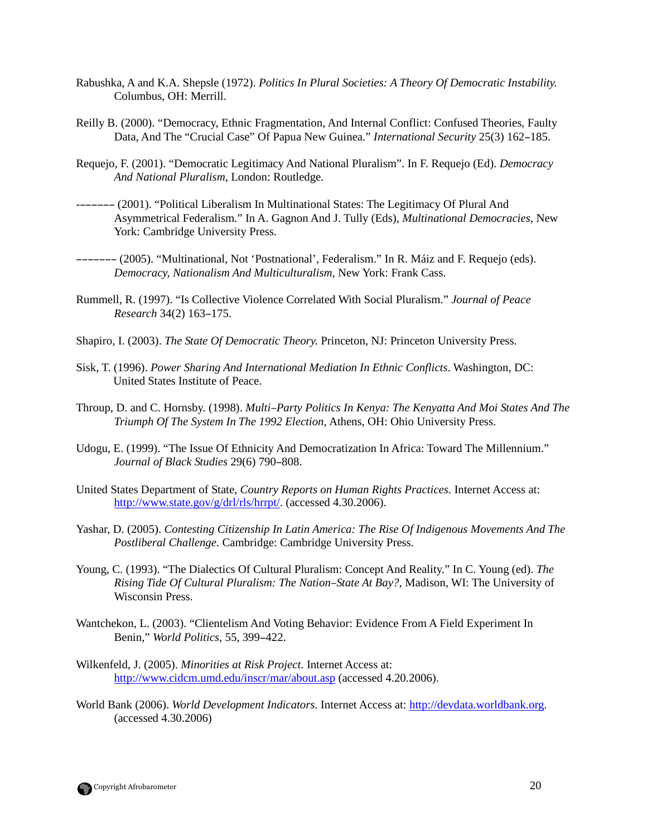- Rabushka, A and K.A. Shepsle (1972). *Politics In Plural Societies: A Theory Of Democratic Instability.*  Columbus, OH: Merrill.
- Reilly B. (2000). "Democracy, Ethnic Fragmentation, And Internal Conflict: Confused Theories, Faulty Data, And The "Crucial Case" Of Papua New Guinea." *International Security* 25(3) 162–185.
- Requejo, F. (2001). "Democratic Legitimacy And National Pluralism". In F. Requejo (Ed). *Democracy And National Pluralism,* London: Routledge.
- -–––––– (2001). "Political Liberalism In Multinational States: The Legitimacy Of Plural And Asymmetrical Federalism." In A. Gagnon And J. Tully (Eds), *Multinational Democracies,* New York: Cambridge University Press.
- ––––––– (2005). "Multinational, Not 'Postnational', Federalism." In R. Máiz and F. Requejo (eds). *Democracy, Nationalism And Multiculturalism,* New York: Frank Cass.
- Rummell, R. (1997). "Is Collective Violence Correlated With Social Pluralism." *Journal of Peace Research* 34(2) 163–175.
- Shapiro, I. (2003). *The State Of Democratic Theory.* Princeton, NJ: Princeton University Press.
- Sisk, T. (1996). *Power Sharing And International Mediation In Ethnic Conflicts*. Washington, DC: United States Institute of Peace.
- Throup, D. and C. Hornsby. (1998). *Multi*–*Party Politics In Kenya: The Kenyatta And Moi States And The Triumph Of The System In The 1992 Election,* Athens, OH: Ohio University Press.
- Udogu, E. (1999). "The Issue Of Ethnicity And Democratization In Africa: Toward The Millennium." *Journal of Black Studies* 29(6) 790–808.
- United States Department of State, *Country Reports on Human Rights Practices.* Internet Access at: http://www.state.gov/g/drl/rls/hrrpt/. (accessed 4.30.2006).
- Yashar, D. (2005). *Contesting Citizenship In Latin America: The Rise Of Indigenous Movements And The Postliberal Challenge.* Cambridge: Cambridge University Press.
- Young, C. (1993). "The Dialectics Of Cultural Pluralism: Concept And Reality." In C. Young (ed). *The Rising Tide Of Cultural Pluralism: The Nation*–*State At Bay?,* Madison, WI: The University of Wisconsin Press.
- Wantchekon, L. (2003). "Clientelism And Voting Behavior: Evidence From A Field Experiment In Benin," *World Politics,* 55, 399–422.
- Wilkenfeld, J. (2005). *Minorities at Risk Project.* Internet Access at: http://www.cidcm.umd.edu/inscr/mar/about.asp (accessed 4.20.2006).
- World Bank (2006). *World Development Indicators.* Internet Access at: http://devdata.worldbank.org. (accessed 4.30.2006)

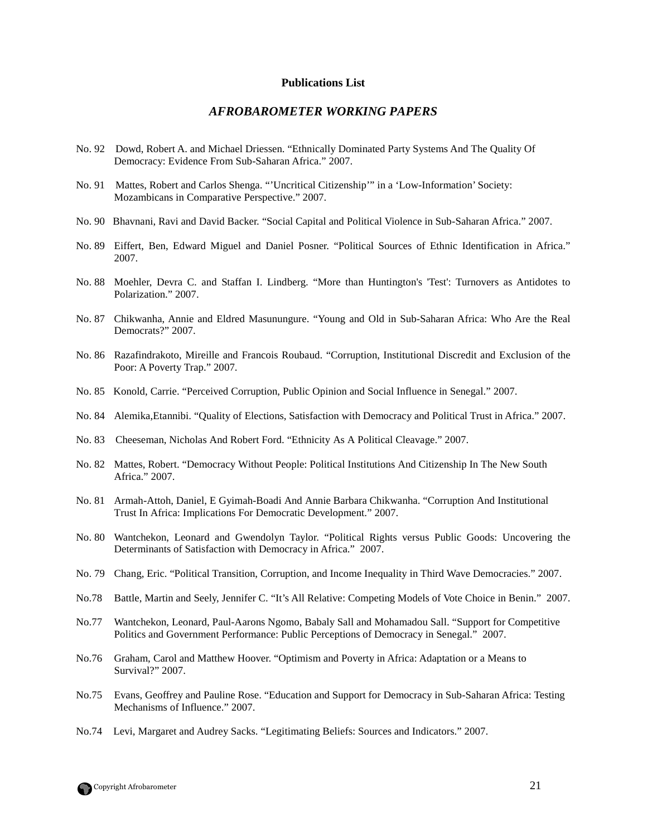#### **Publications List**

### *AFROBAROMETER WORKING PAPERS*

- No. 92 Dowd, Robert A. and Michael Driessen. "Ethnically Dominated Party Systems And The Quality Of Democracy: Evidence From Sub-Saharan Africa." 2007.
- No. 91 Mattes, Robert and Carlos Shenga. "'Uncritical Citizenship'" in a 'Low-Information' Society: Mozambicans in Comparative Perspective." 2007.
- No. 90 Bhavnani, Ravi and David Backer. "Social Capital and Political Violence in Sub-Saharan Africa." 2007.
- No. 89 Eiffert, Ben, Edward Miguel and Daniel Posner. "Political Sources of Ethnic Identification in Africa." 2007.
- No. 88 Moehler, Devra C. and Staffan I. Lindberg. "More than Huntington's 'Test': Turnovers as Antidotes to Polarization." 2007.
- No. 87 Chikwanha, Annie and Eldred Masunungure. "Young and Old in Sub-Saharan Africa: Who Are the Real Democrats?" 2007.
- No. 86 Razafindrakoto, Mireille and Francois Roubaud. "Corruption, Institutional Discredit and Exclusion of the Poor: A Poverty Trap." 2007.
- No. 85 Konold, Carrie. "Perceived Corruption, Public Opinion and Social Influence in Senegal." 2007.
- No. 84 Alemika,Etannibi. "Quality of Elections, Satisfaction with Democracy and Political Trust in Africa." 2007.
- No. 83 Cheeseman, Nicholas And Robert Ford. "Ethnicity As A Political Cleavage." 2007.
- No. 82 Mattes, Robert. "Democracy Without People: Political Institutions And Citizenship In The New South Africa." 2007.
- No. 81 Armah-Attoh, Daniel, E Gyimah-Boadi And Annie Barbara Chikwanha. "Corruption And Institutional Trust In Africa: Implications For Democratic Development." 2007.
- No. 80 Wantchekon, Leonard and Gwendolyn Taylor. "Political Rights versus Public Goods: Uncovering the Determinants of Satisfaction with Democracy in Africa." 2007.
- No. 79 Chang, Eric. "Political Transition, Corruption, and Income Inequality in Third Wave Democracies." 2007.
- No.78 Battle, Martin and Seely, Jennifer C. "It's All Relative: Competing Models of Vote Choice in Benin." 2007.
- No.77 Wantchekon, Leonard, Paul-Aarons Ngomo, Babaly Sall and Mohamadou Sall. "Support for Competitive Politics and Government Performance: Public Perceptions of Democracy in Senegal." 2007.
- No.76 Graham, Carol and Matthew Hoover. "Optimism and Poverty in Africa: Adaptation or a Means to Survival?" 2007.
- No.75 Evans, Geoffrey and Pauline Rose. "Education and Support for Democracy in Sub-Saharan Africa: Testing Mechanisms of Influence." 2007.
- No.74 Levi, Margaret and Audrey Sacks. "Legitimating Beliefs: Sources and Indicators." 2007.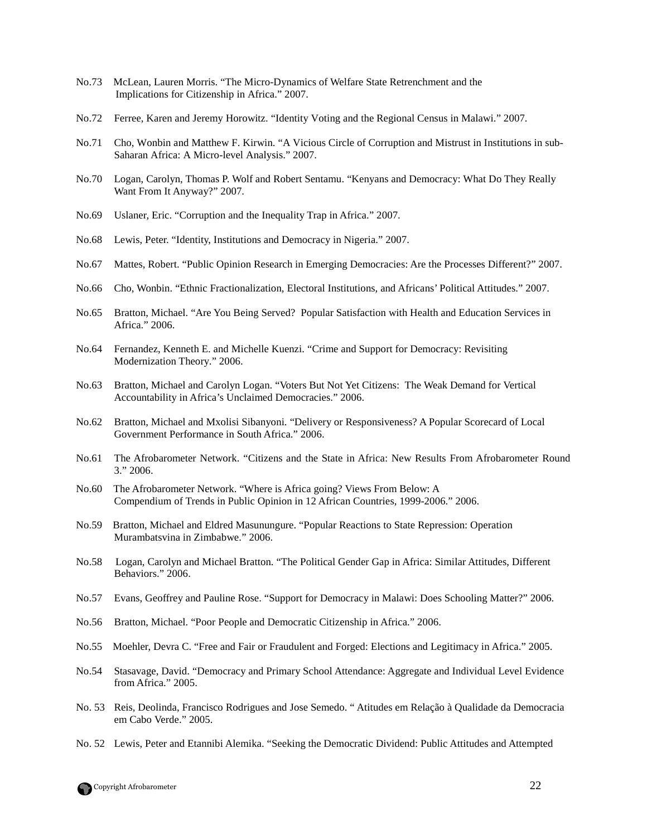- No.73 McLean, Lauren Morris. "The Micro-Dynamics of Welfare State Retrenchment and the Implications for Citizenship in Africa." 2007.
- No.72 Ferree, Karen and Jeremy Horowitz. "Identity Voting and the Regional Census in Malawi." 2007.
- No.71 Cho, Wonbin and Matthew F. Kirwin. "A Vicious Circle of Corruption and Mistrust in Institutions in sub-Saharan Africa: A Micro-level Analysis." 2007.
- No.70 Logan, Carolyn, Thomas P. Wolf and Robert Sentamu. "Kenyans and Democracy: What Do They Really Want From It Anyway?" 2007.
- No.69 Uslaner, Eric. "Corruption and the Inequality Trap in Africa." 2007.
- No.68 Lewis, Peter. "Identity, Institutions and Democracy in Nigeria." 2007.
- No.67 Mattes, Robert. "Public Opinion Research in Emerging Democracies: Are the Processes Different?" 2007.
- No.66 Cho, Wonbin. "Ethnic Fractionalization, Electoral Institutions, and Africans' Political Attitudes." 2007.
- No.65 Bratton, Michael. "Are You Being Served? Popular Satisfaction with Health and Education Services in Africa." 2006.
- No.64 Fernandez, Kenneth E. and Michelle Kuenzi. "Crime and Support for Democracy: Revisiting Modernization Theory." 2006.
- No.63 Bratton, Michael and Carolyn Logan. "Voters But Not Yet Citizens: The Weak Demand for Vertical Accountability in Africa's Unclaimed Democracies." 2006.
- No.62 Bratton, Michael and Mxolisi Sibanyoni. "Delivery or Responsiveness? A Popular Scorecard of Local Government Performance in South Africa." 2006.
- No.61 The Afrobarometer Network. "Citizens and the State in Africa: New Results From Afrobarometer Round 3." 2006.
- No.60 The Afrobarometer Network. "Where is Africa going? Views From Below: A Compendium of Trends in Public Opinion in 12 African Countries, 1999-2006." 2006.
- No.59 Bratton, Michael and Eldred Masunungure. "Popular Reactions to State Repression: Operation Murambatsvina in Zimbabwe." 2006.
- No.58 Logan, Carolyn and Michael Bratton. "The Political Gender Gap in Africa: Similar Attitudes, Different Behaviors." 2006.
- No.57 Evans, Geoffrey and Pauline Rose. "Support for Democracy in Malawi: Does Schooling Matter?" 2006.
- No.56 Bratton, Michael. "Poor People and Democratic Citizenship in Africa." 2006.
- No.55 Moehler, Devra C. "Free and Fair or Fraudulent and Forged: Elections and Legitimacy in Africa." 2005.
- No.54 Stasavage, David. "Democracy and Primary School Attendance: Aggregate and Individual Level Evidence from Africa." 2005.
- No. 53 Reis, Deolinda, Francisco Rodrigues and Jose Semedo. " Atitudes em Relação à Qualidade da Democracia em Cabo Verde." 2005.
- No. 52 Lewis, Peter and Etannibi Alemika. "Seeking the Democratic Dividend: Public Attitudes and Attempted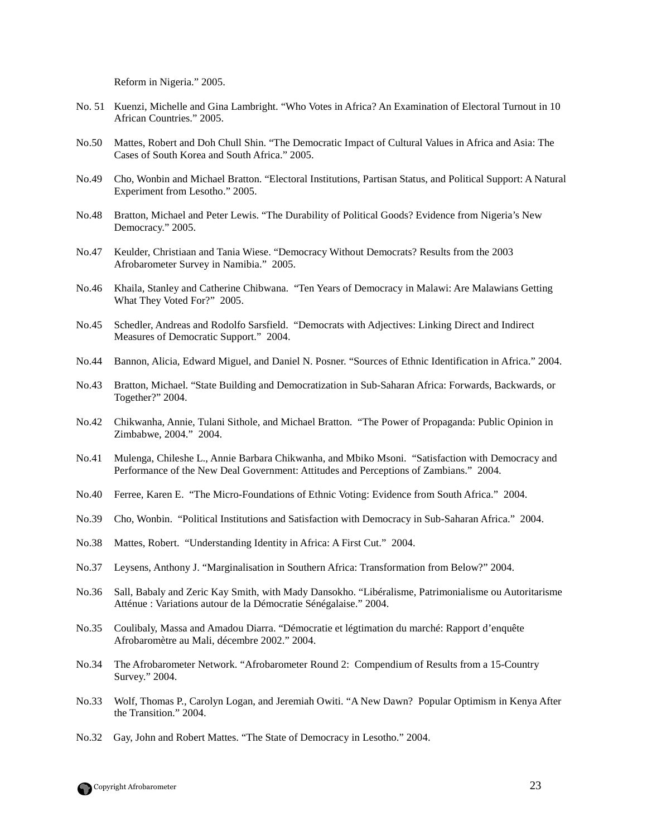Reform in Nigeria." 2005.

- No. 51 Kuenzi, Michelle and Gina Lambright. "Who Votes in Africa? An Examination of Electoral Turnout in 10 African Countries." 2005.
- No.50 Mattes, Robert and Doh Chull Shin. "The Democratic Impact of Cultural Values in Africa and Asia: The Cases of South Korea and South Africa." 2005.
- No.49 Cho, Wonbin and Michael Bratton. "Electoral Institutions, Partisan Status, and Political Support: A Natural Experiment from Lesotho." 2005.
- No.48 Bratton, Michael and Peter Lewis. "The Durability of Political Goods? Evidence from Nigeria's New Democracy." 2005.
- No.47 Keulder, Christiaan and Tania Wiese. "Democracy Without Democrats? Results from the 2003 Afrobarometer Survey in Namibia." 2005.
- No.46 Khaila, Stanley and Catherine Chibwana. "Ten Years of Democracy in Malawi: Are Malawians Getting What They Voted For?" 2005.
- No.45 Schedler, Andreas and Rodolfo Sarsfield. "Democrats with Adjectives: Linking Direct and Indirect Measures of Democratic Support." 2004.
- No.44 Bannon, Alicia, Edward Miguel, and Daniel N. Posner. "Sources of Ethnic Identification in Africa." 2004.
- No.43 Bratton, Michael. "State Building and Democratization in Sub-Saharan Africa: Forwards, Backwards, or Together?" 2004.
- No.42 Chikwanha, Annie, Tulani Sithole, and Michael Bratton. "The Power of Propaganda: Public Opinion in Zimbabwe, 2004." 2004.
- No.41 Mulenga, Chileshe L., Annie Barbara Chikwanha, and Mbiko Msoni. "Satisfaction with Democracy and Performance of the New Deal Government: Attitudes and Perceptions of Zambians." 2004.
- No.40 Ferree, Karen E. "The Micro-Foundations of Ethnic Voting: Evidence from South Africa." 2004.
- No.39 Cho, Wonbin. "Political Institutions and Satisfaction with Democracy in Sub-Saharan Africa." 2004.
- No.38 Mattes, Robert. "Understanding Identity in Africa: A First Cut." 2004.
- No.37 Leysens, Anthony J. "Marginalisation in Southern Africa: Transformation from Below?" 2004.
- No.36 Sall, Babaly and Zeric Kay Smith, with Mady Dansokho. "Libéralisme, Patrimonialisme ou Autoritarisme Atténue : Variations autour de la Démocratie Sénégalaise." 2004.
- No.35 Coulibaly, Massa and Amadou Diarra. "Démocratie et légtimation du marché: Rapport d'enquête Afrobaromètre au Mali, décembre 2002." 2004.
- No.34 The Afrobarometer Network. "Afrobarometer Round 2: Compendium of Results from a 15-Country Survey." 2004.
- No.33 Wolf, Thomas P., Carolyn Logan, and Jeremiah Owiti. "A New Dawn? Popular Optimism in Kenya After the Transition." 2004.
- No.32 Gay, John and Robert Mattes. "The State of Democracy in Lesotho." 2004.

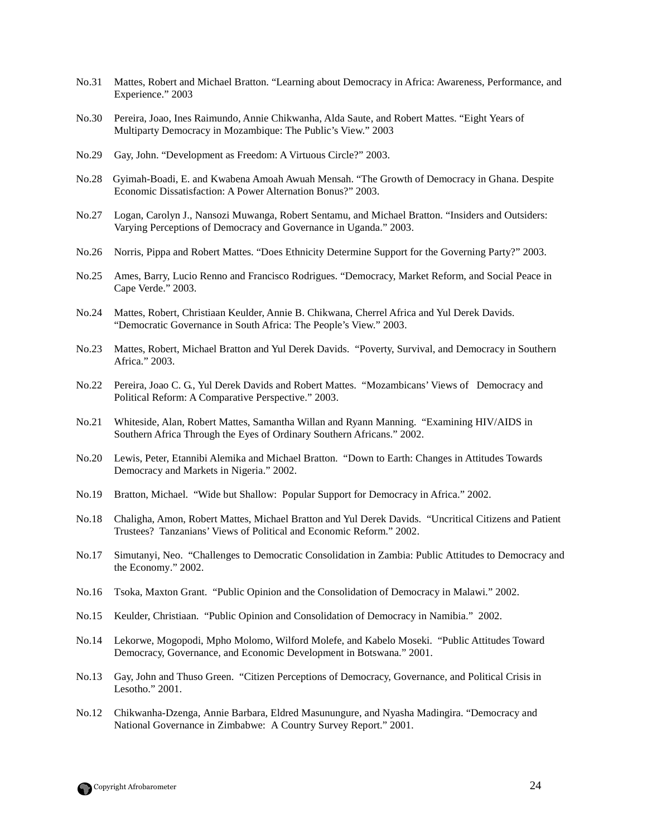- No.31 Mattes, Robert and Michael Bratton. "Learning about Democracy in Africa: Awareness, Performance, and Experience." 2003
- No.30 Pereira, Joao, Ines Raimundo, Annie Chikwanha, Alda Saute, and Robert Mattes. "Eight Years of Multiparty Democracy in Mozambique: The Public's View." 2003
- No.29 Gay, John. "Development as Freedom: A Virtuous Circle?" 2003.
- No.28 Gyimah-Boadi, E. and Kwabena Amoah Awuah Mensah. "The Growth of Democracy in Ghana. Despite Economic Dissatisfaction: A Power Alternation Bonus?" 2003.
- No.27 Logan, Carolyn J., Nansozi Muwanga, Robert Sentamu, and Michael Bratton. "Insiders and Outsiders: Varying Perceptions of Democracy and Governance in Uganda." 2003.
- No.26 Norris, Pippa and Robert Mattes. "Does Ethnicity Determine Support for the Governing Party?" 2003.
- No.25 Ames, Barry, Lucio Renno and Francisco Rodrigues. "Democracy, Market Reform, and Social Peace in Cape Verde." 2003.
- No.24 Mattes, Robert, Christiaan Keulder, Annie B. Chikwana, Cherrel Africa and Yul Derek Davids. "Democratic Governance in South Africa: The People's View." 2003.
- No.23 Mattes, Robert, Michael Bratton and Yul Derek Davids. "Poverty, Survival, and Democracy in Southern Africa." 2003.
- No.22 Pereira, Joao C. G., Yul Derek Davids and Robert Mattes. "Mozambicans' Views of Democracy and Political Reform: A Comparative Perspective." 2003.
- No.21 Whiteside, Alan, Robert Mattes, Samantha Willan and Ryann Manning. "Examining HIV/AIDS in Southern Africa Through the Eyes of Ordinary Southern Africans." 2002.
- No.20 Lewis, Peter, Etannibi Alemika and Michael Bratton. "Down to Earth: Changes in Attitudes Towards Democracy and Markets in Nigeria." 2002.
- No.19 Bratton, Michael. "Wide but Shallow: Popular Support for Democracy in Africa." 2002.
- No.18 Chaligha, Amon, Robert Mattes, Michael Bratton and Yul Derek Davids. "Uncritical Citizens and Patient Trustees? Tanzanians' Views of Political and Economic Reform." 2002.
- No.17 Simutanyi, Neo. "Challenges to Democratic Consolidation in Zambia: Public Attitudes to Democracy and the Economy." 2002.
- No.16 Tsoka, Maxton Grant. "Public Opinion and the Consolidation of Democracy in Malawi." 2002.
- No.15 Keulder, Christiaan. "Public Opinion and Consolidation of Democracy in Namibia." 2002.
- No.14 Lekorwe, Mogopodi, Mpho Molomo, Wilford Molefe, and Kabelo Moseki. "Public Attitudes Toward Democracy, Governance, and Economic Development in Botswana." 2001.
- No.13 Gay, John and Thuso Green. "Citizen Perceptions of Democracy, Governance, and Political Crisis in Lesotho." 2001.
- No.12 Chikwanha-Dzenga, Annie Barbara, Eldred Masunungure, and Nyasha Madingira. "Democracy and National Governance in Zimbabwe: A Country Survey Report." 2001.